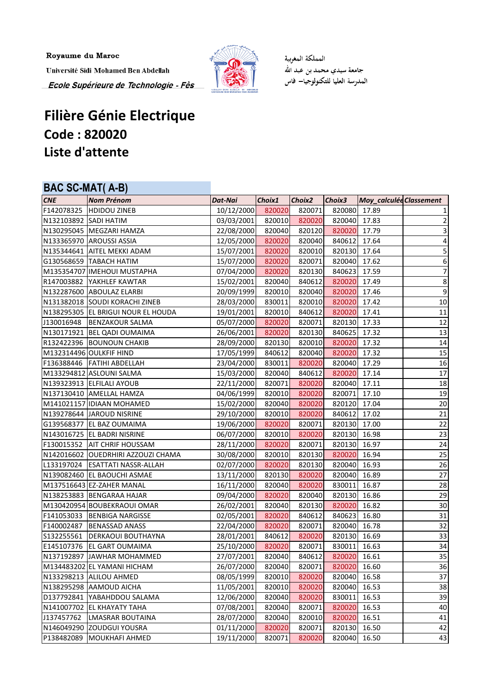Royaume du Maroc

Université Sidi Mohamed Ben Abdellah Ecole Supérieure de Technologie - Fès



المملكة المغربية جامعة سيدي محمد بن عبد الله المدرسة العليا للتكنولوجيا— فاس

## **Filière Génie Electrique Code : 820020 Liste d'attente**

## **BAC SC-MAT( A-B)**

| <b>CNE</b>            | <b>Nom Prénom</b>                  | Dat-Nai    | Choix1 | Choix <sub>2</sub> | Choix3       | Moy_calculée Classement |                         |
|-----------------------|------------------------------------|------------|--------|--------------------|--------------|-------------------------|-------------------------|
|                       | F142078325 HDIDOU ZINEB            | 10/12/2000 | 820020 | 820071             | 820080 17.89 |                         | $\mathbf{1}$            |
| N132103892 SADI HATIM |                                    | 03/03/2001 | 820010 | 820020             | 820040 17.83 |                         | $\mathbf{2}$            |
|                       | N130295045   MEGZARI HAMZA         | 22/08/2000 | 820040 | 820120             | 820020 17.79 |                         | $\overline{\mathbf{3}}$ |
|                       | N133365970 AROUSSI ASSIA           | 12/05/2000 | 820020 | 820040             | 840612       | 17.64                   | $\pmb{4}$               |
|                       | N135344641 AITEL MEKKI ADAM        | 15/07/2001 | 820020 | 820010             | 820130 17.64 |                         | 5                       |
|                       | G130568659   TABACH HATIM          | 15/07/2000 | 820020 | 820071             | 820040 17.62 |                         | 6                       |
|                       | M135354707 IMEHOUI MUSTAPHA        | 07/04/2000 | 820020 | 820130             | 840623       | 17.59                   | $\overline{z}$          |
|                       | R147003882 YAKHLEF KAWTAR          | 15/02/2001 | 820040 | 840612             | 820020 17.49 |                         | $\bf 8$                 |
|                       | N132287600 ABOULAZ ELARBI          | 20/09/1999 | 820010 | 820040             | 820020 17.46 |                         | $\boldsymbol{9}$        |
|                       | N131382018 SOUDI KORACHI ZINEB     | 28/03/2000 | 830011 | 820010             | 820020 17.42 |                         | 10                      |
|                       | N138295305 EL BRIGUI NOUR EL HOUDA | 19/01/2001 | 820010 | 840612             | 820020 17.41 |                         | 11                      |
| J130016948            | <b>BENZAKOUR SALMA</b>             | 05/07/2000 | 820020 | 820071             | 820130 17.33 |                         | 12                      |
|                       | N130171921 BEL QADI OUMAIMA        | 26/06/2001 | 820020 | 820130             | 840625 17.32 |                         | 13                      |
|                       | R132422396 BOUNOUN CHAKIB          | 28/09/2000 | 820130 | 820010             | 820020       | 17.32                   | 14                      |
|                       | M132314496 OULKFIF HIND            | 17/05/1999 | 840612 | 820040             | 820020 17.32 |                         | 15                      |
|                       | F136388446   FATIHI ABDELLAH       | 23/04/2000 | 830011 | 820020             | 820040 17.29 |                         | 16                      |
|                       | M133294812 ASLOUNI SALMA           | 15/03/2000 | 820040 | 840612             | 820020       | 17.14                   | 17                      |
|                       | N139323913 ELFILALI AYOUB          | 22/11/2000 | 820071 | 820020             | 820040 17.11 |                         | 18                      |
|                       | N137130410 AMELLAL HAMZA           | 04/06/1999 | 820010 | 820020             | 820071       | 17.10                   | 19                      |
|                       | M141021157 IDIAAN MOHAMED          | 15/02/2000 | 820040 | 820020             | 820120 17.04 |                         | 20                      |
|                       | N139278644 JAROUD NISRINE          | 29/10/2000 | 820010 | 820020             | 840612       | 17.02                   | 21                      |
|                       | G139568377   EL BAZ OUMAIMA        | 19/06/2000 | 820020 | 820071             | 820130 17.00 |                         | 22                      |
|                       | N143016725 EL BADRI NISRINE        | 06/07/2000 | 820010 | 820020             | 820130 16.98 |                         | 23                      |
|                       | F130015352   AIT CHRIF HOUSSAM     | 28/11/2000 | 820020 | 820071             | 820130 16.97 |                         | 24                      |
|                       | N142016602 OUEDRHIRI AZZOUZI CHAMA | 30/08/2000 | 820010 | 820130             | 820020 16.94 |                         | 25                      |
|                       | L133197024 ESATTATI NASSR-ALLAH    | 02/07/2000 | 820020 | 820130             | 820040       | 16.93                   | 26                      |
|                       | N139082460 EL BAOUCHI ASMAE        | 13/11/2000 | 820130 | 820020             | 820040       | 16.89                   | 27                      |
|                       | M137516643 EZ-ZAHER MANAL          | 16/11/2000 | 820040 | 820020             | 830011       | 16.87                   | 28                      |
|                       | N138253883 BENGARAA HAJAR          | 09/04/2000 | 820020 | 820040             | 820130       | 16.86                   | 29                      |
|                       | M130420954 BOUBEKRAOUI OMAR        | 26/02/2001 | 820040 | 820130             | 820020 16.82 |                         | 30                      |
|                       | F141053033 BENBIGA NARGISSE        | 02/05/2001 | 820020 | 840612             | 840623 16.80 |                         | 31                      |
| F140002487            | <b>BENASSAD ANASS</b>              | 22/04/2000 | 820020 | 820071             | 820040       | 16.78                   | 32                      |
|                       | S132255561   DERKAOUI BOUTHAYNA    | 28/01/2001 | 840612 | 820020             | 820130       | 16.69                   | 33                      |
|                       | E145107376   EL GART OUMAIMA       | 25/10/2000 | 820020 | 820071             | 830011       | 16.63                   | 34                      |
|                       | N137192897 JAWHAR MOHAMMED         | 27/07/2001 | 820040 | 840612             | 820020       | 16.61                   | 35                      |
|                       | M134483202 EL YAMANI HICHAM        | 26/07/2000 | 820040 | 820071             | 820020       | 16.60                   | 36                      |
|                       | N133298213 ALILOU AHMED            | 08/05/1999 | 820010 | 820020             | 820040       | 16.58                   | 37                      |
|                       | N138295298 AAMOUD AICHA            | 11/05/2001 | 820010 | 820020             | 820040       | 16.53                   | 38                      |
|                       | D137792841 YABAHDDOU SALAMA        | 12/06/2000 | 820040 | 820020             | 830011       | 16.53                   | 39                      |
|                       | N141007702 EL KHAYATY TAHA         | 07/08/2001 | 820040 | 820071             | 820020       | 16.53                   | 40                      |
| J137457762            | <b>LMASRAR BOUTAINA</b>            | 28/07/2000 | 820040 | 820010             | 820020       | 16.51                   | 41                      |
|                       | N146049290 ZOUDGUI YOUSRA          | 01/11/2000 | 820020 | 820071             | 820130       | 16.50                   | 42                      |
|                       | P138482089   MOUKHAFI AHMED        | 19/11/2000 | 820071 | 820020             | 820040 16.50 |                         | 43                      |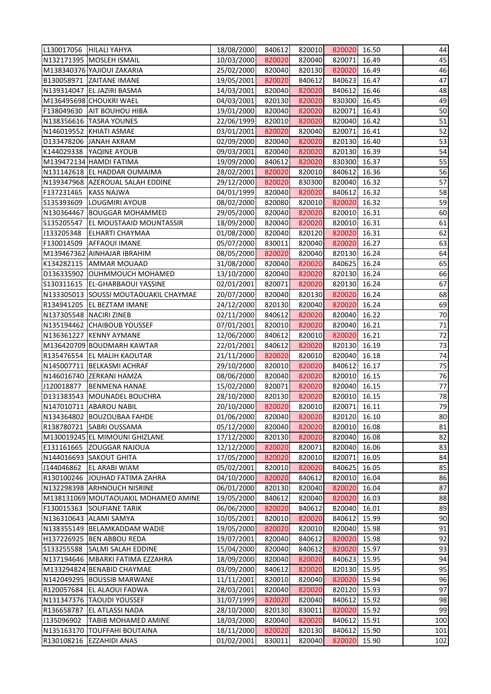|                       | L130017056  HILALI YAHYA                                  | 18/08/2000               | 840612           | 820010           | 820020           | 16.50          | 44       |
|-----------------------|-----------------------------------------------------------|--------------------------|------------------|------------------|------------------|----------------|----------|
|                       | N132171395 MOSLEH ISMAIL                                  | 10/03/2000               | 820020           | 820040           | 820071           | 16.49          | 45       |
|                       | M138340376 YAJIOUI ZAKARIA                                | 25/02/2000               | 820040           | 820130           | 820020           | 16.49          | 46       |
|                       | B130058971 ZAITANE IMANE                                  | 19/05/2001               | 820020           | 840612           | 840623           | 16.47          | 47       |
|                       | N139314047 EL JAZIRI BASMA                                | 14/03/2001               | 820040           | 820020           | 840612           | 16.46          | 48       |
|                       | M136495698 CHOUKRI WAEL                                   | 04/03/2001               | 820130           | 820020           | 830300           | 16.45          | 49       |
|                       | F138049630 AIT BOUHOU HIBA                                | 19/01/2000               | 820040           | 820020           | 820071           | 16.43          | 50       |
|                       | N138356616   TASRA YOUNES                                 | 22/06/1999               | 820010           | 820020           | 820040           | 16.42          | 51       |
|                       | N146019552 KHIATI ASMAE                                   | 03/01/2001               | 820020           | 820040           | 820071           | 16.41          | 52       |
|                       | D133478206 JANAH AKRAM                                    | 02/09/2000               | 820040           | 820020           | 820130           | 16.40          | 53       |
|                       | K144029338 YAQINE AYOUB                                   | 09/03/2001               | 820040           | 820020           | 820130           | 16.39          | 54       |
|                       | M139472134 HAMDI FATIMA                                   | 19/09/2000               | 840612           | 820020           | 830300           | 16.37          | 55       |
|                       | N131142618 EL HADDAR OUMAIMA                              | 28/02/2001               | 820020           | 820010           | 840612           | 16.36          | 56       |
|                       | N139347968 AZEROUAL SALAH EDDINE                          | 29/12/2000               | 820020           | 830300           | 820040           | 16.32          | 57       |
| F137231465 KASS NAJWA |                                                           | 04/01/1999               | 820040           | 820020           | 840612           | 16.32          | 58       |
|                       | S135393609  LOUGMIRI AYOUB                                | 08/02/2000               | 820080           | 820010           | 820020           | 16.32          | 59       |
|                       | N130364467 BOUGGAR MOHAMMED                               | 29/05/2000               | 820040           | 820020           | 820010           | 16.31          | 60       |
|                       | S135205547 EL MOUSTAAID MOUNTASSIR                        | 18/09/2000               | 820040           | 820020           | 820010           | 16.31          | 61       |
|                       | J133205348 ELHARTI CHAYMAA                                | 01/08/2000               | 820040           | 820120           | 820020           | 16.31          | 62       |
|                       | F130014509 AFFAOUI IMANE                                  | 05/07/2000               | 830011           | 820040           | 820020           | 16.27          | 63       |
|                       | M139467362 AINHAJAR IBRAHIM                               | 08/05/2000               | 820020           | 820040           | 820130           | 16.24          | 64       |
|                       | K134282115 AMMAR MOUAAD                                   | 31/08/2000               | 820040           | 820020           | 840625           | 16.24          | 65       |
|                       | D136335902 OUHMMOUCH MOHAMED                              | 13/10/2000               | 820040           | 820020           | 820130           | 16.24          | 66       |
|                       |                                                           |                          |                  |                  |                  |                | 67       |
|                       | S130311615   EL-GHARBAOUI YASSINE                         | 02/01/2001               | 820071           | 820020           | 820130           | 16.24          |          |
|                       | N133305013 SOUSSI MOUTAOUAKIL CHAYMAE                     | 20/07/2000               | 820040           | 820130           | 820020           | 16.24          | 68       |
|                       | R134941205 EL BEZTAM IMANE                                | 24/12/2000               | 820130           | 820040           | 820020           | 16.24          | 69       |
|                       | N137305548 NACIRI ZINEB                                   | 02/11/2000               | 840612           | 820020           | 820040           | 16.22          | 70       |
|                       | N135194462 CHAIBOUB YOUSSEF                               | 07/01/2001               | 820010           | 820020           | 820040           | 16.21          | 71       |
|                       | N136361227 KENNY AYMANE                                   | 12/06/2000               | 840612           | 820010<br>820020 | 820020           | 16.21          | 72       |
|                       | M136420709 BOUDMARH KAWTAR<br>R135476554 EL MALIH KAOUTAR | 22/01/2001<br>21/11/2000 | 840612<br>820020 | 820010           | 820130<br>820040 | 16.19<br>16.18 | 73       |
|                       | N145007711 BELKASMI ACHRAF                                | 29/10/2000               | 820010           | 820020           | 840612           | 16.17          | 74<br>75 |
|                       | N146016740 ZERKANI HAMZA                                  | 08/06/2000               | 820040           | 820020           | 820010           | 16.15          | 76       |
|                       | J120018877   BENMENA HANAE                                | 15/02/2000               | 820071           | 820020           | 820040           | 16.15          | 77       |
|                       | D131383543 MOUNADEL BOUCHRA                               | 28/10/2000               | 820130           | 820020           | 820010           | 16.15          | 78       |
|                       | N147010711 ABAROU NABIL                                   | 20/10/2000               | 820020           | 820010           | 820071           | 16.11          | 79       |
|                       | N134364802 BOUZOUBAA FAHDE                                | 01/06/2000               | 820040           | 820020           | 820120           | 16.10          | 80       |
|                       | R138780721 SABRI OUSSAMA                                  | 05/12/2000               | 820040           | 820020           | 820010           | 16.08          | 81       |
|                       | M130019245 EL MIMOUNI GHIZLANE                            | 17/12/2000               | 820130           | 820020           | 820040           | 16.08          | 82       |
|                       | E131161665 ZOUGGAR NAJOUA                                 | 12/12/2000               | 820020           | 820071           | 820040           | 16.06          | 83       |
|                       | N144016693 SAKOUT GHITA                                   | 17/05/2000               | 820020           | 820010           | 820071           | 16.05          | 84       |
| J144046862            | <b>EL ARABI WIAM</b>                                      | 05/02/2001               | 820010           | 820020           | 840625           | 16.05          | 85       |
|                       | R130100246 JOUHAD FATIMA ZAHRA                            | 04/10/2000               | 820020           | 840612           | 820010           | 16.04          | 86       |
|                       | N132298398 ARHNOUCH NISRINE                               | 06/01/2000               | 820130           | 820040           | 820020           | 16.04          | 87       |
|                       | M138131069 MOUTAOUAKIL MOHAMED AMINE                      | 19/05/2000               | 840612           | 820040           | 820020           | 16.03          | 88       |
|                       | F130015363 SOUFIANE TARIK                                 | 06/06/2000               | 820020           | 840612           | 820040           | 16.01          | 89       |
|                       | N136310643 ALAMI SAMYA                                    | 10/05/2001               | 820010           | 820020           | 840612           | 15.99          | 90       |
|                       | N138355149 BELAMKADDAM WADIE                              | 19/05/2000               | 820020           | 820010           | 820040           | 15.98          | 91       |
|                       | H137226925 BEN ABBOU REDA                                 | 19/07/2001               | 820040           | 840612           | 820020           | 15.98          | 92       |
|                       | S133255588 SALMI SALAH EDDINE                             | 15/04/2000               | 820040           | 840612           | 820020           | 15.97          | 93       |
|                       | N137194646   MBARKI FATIMA EZZAHRA                        | 18/09/2000               | 820040           | 820020           | 840623           | 15.95          | 94       |
|                       | M133294824 BENABID CHAYMAE                                | 03/09/2000               | 840612           | 820020           | 820130           | 15.95          | 95       |
|                       | N142049295 BOUSSIB MARWANE                                | 11/11/2001               | 820010           | 820040           | 820020           | 15.94          | 96       |
|                       | R120057684 EL ALAOUI FADWA                                | 28/03/2001               | 820040           | 820020           | 820120           | 15.93          | 97       |
|                       | N131347376 TAOUDI YOUSSEF                                 | 31/07/1999               | 820020           | 820040           | 840612           | 15.92          | 98       |
|                       | R136658787 EL ATLASSI NADA                                | 28/10/2000               | 820130           | 830011           | 820020           | 15.92          | 99       |
| J135096902            | <b>TABIB MOHAMED AMINE</b>                                | 18/03/2000               | 820040           | 820020           | 840612           | 15.91          | 100      |
|                       | N135163170 TOUFFAHI BOUTAINA                              | 18/11/2000               | 820020           | 820130           | 840612           | 15.90          | 101      |
|                       | R130108216 EZZAHIDI ANAS                                  | 01/02/2001               | 830011           | 820040           | 820020           | 15.90          | 102      |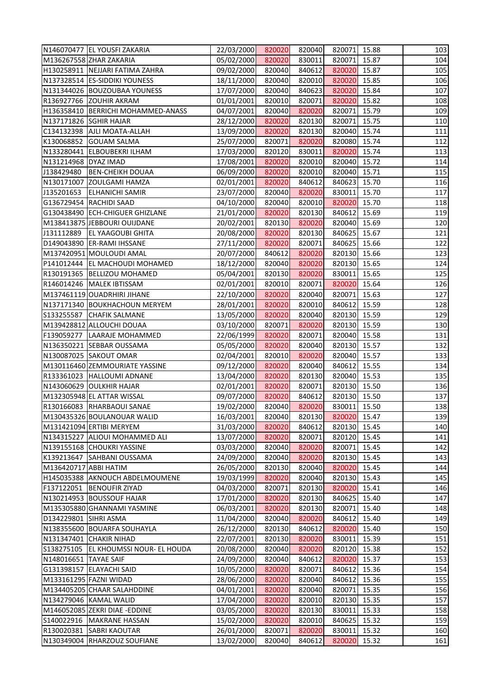|                       | N146070477 EL YOUSFI ZAKARIA            | 22/03/2000 | 820020 | 820040 | 820071 15.88 |       | 103 |
|-----------------------|-----------------------------------------|------------|--------|--------|--------------|-------|-----|
|                       | M136267558 ZHAR ZAKARIA                 | 05/02/2000 | 820020 | 830011 | 820071 15.87 |       | 104 |
|                       | H130258911 NEJJARI FATIMA ZAHRA         | 09/02/2000 | 820040 | 840612 | 820020 15.87 |       | 105 |
|                       | N137328514 ES-SIDDIKI YOUNESS           | 18/11/2000 | 820040 | 820010 | 820020 15.85 |       | 106 |
|                       | N131344026 BOUZOUBAA YOUNESS            | 17/07/2000 | 820040 | 840623 | 820020 15.84 |       | 107 |
|                       | R136927766 ZOUHIR AKRAM                 | 01/01/2001 | 820010 | 820071 | 820020 15.82 |       | 108 |
|                       | H136358410   BERRICHI MOHAMMED-ANASS    | 04/07/2001 | 820040 | 820020 | 820071 15.79 |       | 109 |
|                       | N137171826 SGHIR HAJAR                  | 28/12/2000 | 820020 | 820130 | 820071 15.75 |       | 110 |
|                       | C134132398 AJLI MOATA-ALLAH             | 13/09/2000 | 820020 | 820130 | 820040 15.74 |       | 111 |
|                       | K130068852 GOUAM SALMA                  | 25/07/2000 | 820071 | 820020 | 820080 15.74 |       | 112 |
|                       | N133280441 ELBOUBEKRI ILHAM             | 17/03/2000 | 820120 | 830011 | 820020 15.74 |       | 113 |
| N131214968 DYAZ IMAD  |                                         | 17/08/2001 | 820020 | 820010 | 820040 15.72 |       | 114 |
|                       | J138429480 BEN-CHEIKH DOUAA             | 06/09/2000 | 820020 | 820010 | 820040 15.71 |       | 115 |
|                       | N130171007 ZOULGAMI HAMZA               | 02/01/2001 | 820020 | 840612 | 840623 15.70 |       | 116 |
|                       | J135201653 ELHANICHI SAMIR              | 23/07/2000 | 820040 | 820020 | 830011 15.70 |       | 117 |
|                       | G136729454 RACHIDI SAAD                 | 04/10/2000 | 820040 | 820010 | 820020 15.70 |       | 118 |
|                       | G130438490 ECH-CHIGUER GHIZLANE         | 21/01/2000 | 820020 | 820130 | 840612 15.69 |       | 119 |
|                       | M138413875 JEBBOURI OUIJDANE            | 20/02/2001 | 820130 | 820020 | 820040 15.69 |       | 120 |
|                       | J131112889 EL YAAGOUBI GHITA            | 20/08/2000 | 820020 | 820130 | 840625       | 15.67 | 121 |
|                       | D149043890 ER-RAMI IHSSANE              | 27/11/2000 | 820020 | 820071 | 840625 15.66 |       | 122 |
|                       | M137420951 MOULOUDI AMAL                | 20/07/2000 | 840612 | 820020 | 820130 15.66 |       | 123 |
|                       | P141012444 EL MACHOUDI MOHAMED          | 18/12/2000 | 820040 | 820020 | 820130 15.65 |       | 124 |
|                       | R130191365  BELLIZOU MOHAMED            | 05/04/2001 | 820130 | 820020 | 830011 15.65 |       | 125 |
|                       | R146014246   MALEK IBTISSAM             | 02/01/2001 | 820010 | 820071 | 820020 15.64 |       | 126 |
|                       | M137461119 OUADRHIRI JIHANE             | 22/10/2000 | 820020 | 820040 | 820071 15.63 |       | 127 |
|                       | N137171340 BOUKHACHOUN MERYEM           | 28/01/2001 | 820020 | 820010 | 840612 15.59 |       | 128 |
|                       | S133255587 CHAFIK SALMANE               | 13/05/2000 | 820020 | 820040 | 820130 15.59 |       | 129 |
|                       | M139428812 ALLOUCHI DOUAA               | 03/10/2000 | 820071 | 820020 | 820130 15.59 |       | 130 |
|                       | F139059277 LAARAJE MOHAMMED             | 22/06/1999 | 820020 | 820071 | 820040 15.58 |       | 131 |
|                       | N136350221 SEBBAR OUSSAMA               | 05/05/2000 | 820020 | 820040 | 820130 15.57 |       | 132 |
|                       | N130087025 SAKOUT OMAR                  | 02/04/2001 | 820010 | 820020 | 820040 15.57 |       | 133 |
|                       | M130116460 ZEMMOURIATE YASSINE          | 09/12/2000 | 820020 | 820040 | 840612 15.55 |       | 134 |
|                       | R133361023 HALLOUMI ADNANE              | 13/04/2000 | 820020 | 820130 | 820040 15.53 |       | 135 |
|                       | N143060629 OULKHIR HAJAR                | 02/01/2001 | 820020 | 820071 | 820130 15.50 |       | 136 |
|                       | M132305948 EL ATTAR WISSAL              | 09/07/2000 | 820020 | 840612 | 820130 15.50 |       | 137 |
|                       | R130166083 RHARBAOUI SANAE              | 19/02/2000 | 820040 | 820020 | 830011       | 15.50 | 138 |
|                       | M130435326 BOULANOUAR WALID             | 16/03/2001 | 820040 | 820130 | 820020       | 15.47 | 139 |
|                       | M131421094 ERTIBI MERYEM                | 31/03/2000 | 820020 | 840612 | 820130 15.45 |       | 140 |
|                       | N134315227 ALIOUI MOHAMMED ALI          | 13/07/2000 | 820020 | 820071 | 820120 15.45 |       | 141 |
|                       | N139155168 CHOUKRI YASSINE              | 03/03/2000 | 820040 | 820020 | 820071 15.45 |       | 142 |
|                       | K139213647 SAHBANI OUSSAMA              | 24/09/2000 | 820040 | 820020 | 820130 15.45 |       | 143 |
| M136420717 ABBI HATIM |                                         | 26/05/2000 | 820130 | 820040 | 820020       | 15.45 | 144 |
|                       | H145035388 AKNOUCH ABDELMOUMENE         | 19/03/1999 | 820020 | 820040 | 820130 15.43 |       | 145 |
|                       | F137122051   BENOUFIR ZIYAD             | 04/03/2000 | 820071 | 820130 | 820020       | 15.41 | 146 |
|                       | N130214953 BOUSSOUF HAJAR               | 17/01/2000 | 820020 | 820130 | 840625 15.40 |       | 147 |
|                       | M135305880 GHANNAMI YASMINE             | 06/03/2001 | 820020 | 820130 | 820071       | 15.40 | 148 |
| D134229801 SIHRI ASMA |                                         | 11/04/2000 | 820040 | 820020 | 840612       | 15.40 | 149 |
|                       | N138355600 BOUARFA SOUHAYLA             | 26/12/2000 | 820130 | 840612 | 820020 15.40 |       | 150 |
|                       | N131347401 CHAKIR NIHAD                 | 22/07/2001 | 820130 | 820020 | 830011       | 15.39 | 151 |
|                       | S138275105   EL KHOUMSSI NOUR- EL HOUDA | 20/08/2000 | 820040 | 820020 | 820120 15.38 |       | 152 |
| N148016651 TAYAE SAIF |                                         | 24/09/2000 | 820040 | 840612 | 820020       | 15.37 | 153 |
|                       | G131398157 ELAYACHI SAID                | 10/05/2000 | 820020 | 820071 | 840612       | 15.36 | 154 |
|                       | M133161295 FAZNI WIDAD                  | 28/06/2000 | 820020 | 820040 | 840612 15.36 |       | 155 |
|                       | M134405205 CHAAR SALAHDDINE             | 04/01/2001 | 820020 | 820040 | 820071       | 15.35 | 156 |
|                       | N134279046 KAMAL WALID                  | 17/04/2000 | 820020 | 820010 | 820130 15.35 |       | 157 |
|                       | M146052085 ZEKRI DIAE - EDDINE          | 03/05/2000 | 820020 | 820130 | 830011       | 15.33 | 158 |
|                       | S140022916   MAKRANE HASSAN             | 15/02/2000 | 820020 | 820010 | 840625       | 15.32 | 159 |
|                       | R130020381 SABRI KAOUTAR                | 26/01/2000 | 820071 | 820020 | 830011       | 15.32 | 160 |
|                       | N130349004 RHARZOUZ SOUFIANE            | 13/02/2000 | 820040 | 840612 | 820020       | 15.32 | 161 |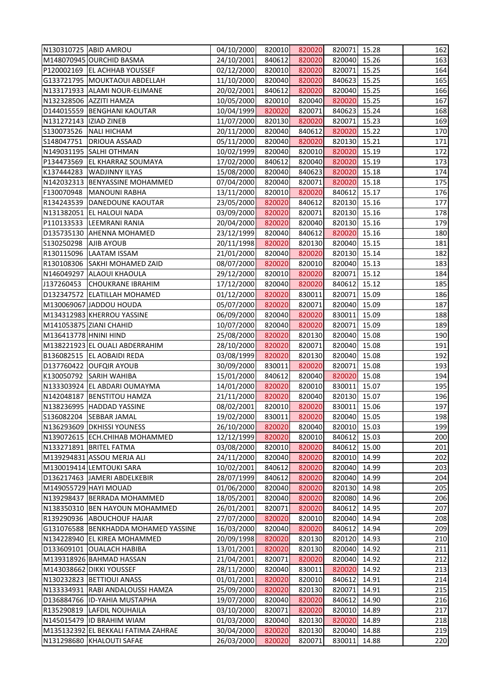| N130310725 ABID AMROU                | 04/10/2000 | 820010 | 820020 | 820071 15.28 |       | 162 |
|--------------------------------------|------------|--------|--------|--------------|-------|-----|
| M148070945 OURCHID BASMA             | 24/10/2001 | 840612 | 820020 | 820040 15.26 |       | 163 |
| P120002169 EL ACHHAB YOUSSEF         | 02/12/2000 | 820010 | 820020 | 820071 15.25 |       | 164 |
| G133721795   MOUKTAOUI ABDELLAH      | 11/10/2000 | 820040 | 820020 | 840623 15.25 |       | 165 |
| N133171933 ALAMI NOUR-ELIMANE        | 20/02/2001 | 840612 | 820020 | 820040 15.25 |       | 166 |
| N132328506 AZZITI HAMZA              | 10/05/2000 | 820010 | 820040 | 820020 15.25 |       | 167 |
| D144015559   BENGHANI KAOUTAR        | 10/04/1999 | 820020 | 820071 | 840623 15.24 |       | 168 |
| N131272143  IZIAD ZINEB              | 11/07/2000 | 820130 | 820020 | 820071 15.23 |       | 169 |
| S130073526 NALI HICHAM               | 20/11/2000 | 820040 | 840612 | 820020 15.22 |       | 170 |
| S148047751   DRIOUA ASSAAD           | 05/11/2000 | 820040 | 820020 | 820130 15.21 |       | 171 |
| N149031195 SALHI OTHMAN              | 10/02/1999 | 820040 | 820010 | 820020 15.19 |       | 172 |
| P134473569 EL KHARRAZ SOUMAYA        | 17/02/2000 | 840612 | 820040 | 820020 15.19 |       | 173 |
| K137444283 WADJINNY ILYAS            | 15/08/2000 | 820040 | 840623 | 820020 15.18 |       | 174 |
| N142032313 BENYASSINE MOHAMMED       | 07/04/2000 | 820040 | 820071 | 820020 15.18 |       | 175 |
| F130070948   MANOUNI RABHA           | 13/11/2000 | 820010 | 820020 | 840612 15.17 |       | 176 |
| R134243539 DANEDOUNE KAOUTAR         | 23/05/2000 | 820020 | 840612 | 820130 15.16 |       | 177 |
| N131382051 EL HALOUI NADA            | 03/09/2000 | 820020 | 820071 | 820130 15.16 |       | 178 |
| P110133533 LEEMRANI RANIA            | 20/04/2000 | 820020 | 820040 | 820130 15.16 |       | 179 |
| D135735130 AHENNA MOHAMED            | 23/12/1999 | 820040 | 840612 | 820020 15.16 |       | 180 |
| S130250298   AJIB AYOUB              | 20/11/1998 | 820020 | 820130 | 820040 15.15 |       | 181 |
| R130115096 LAATAM ISSAM              | 21/01/2000 | 820040 | 820020 | 820130 15.14 |       | 182 |
| R130108306 SAKHI MOHAMED ZAID        | 08/07/2000 | 820020 | 820010 | 820040 15.13 |       | 183 |
| N146049297 ALAOUI KHAOULA            | 29/12/2000 | 820010 | 820020 | 820071 15.12 |       | 184 |
| J137260453 CHOUKRANE IBRAHIM         | 17/12/2000 | 820040 | 820020 | 840612       | 15.12 | 185 |
| D132347572 ELATILLAH MOHAMED         | 01/12/2000 | 820020 | 830011 | 820071 15.09 |       | 186 |
| M130069067 JADDOU HOUDA              | 05/07/2000 | 820020 | 820071 | 820040 15.09 |       | 187 |
| M134312983 KHERROU YASSINE           | 06/09/2000 | 820040 | 820020 | 830011 15.09 |       | 188 |
| M141053875 ZIANI CHAHID              | 10/07/2000 | 820040 | 820020 | 820071       | 15.09 | 189 |
| M136413778 HNINI HIND                | 25/08/2000 | 820020 | 820130 | 820040       | 15.08 | 190 |
| M138221923 EL OUALI ABDERRAHIM       | 28/10/2000 | 820020 | 820071 | 820040 15.08 |       | 191 |
| B136082515 EL AOBAIDI REDA           | 03/08/1999 | 820020 | 820130 | 820040 15.08 |       | 192 |
| D137760422 OUFQIR AYOUB              | 30/09/2000 | 830011 | 820020 | 820071 15.08 |       | 193 |
| K130050792 SARIH WAHIBA              | 15/01/2000 | 840612 | 820040 | 820020       | 15.08 | 194 |
| N133303924 EL ABDARI OUMAYMA         | 14/01/2000 | 820020 | 820010 | 830011       | 15.07 | 195 |
| N142048187 BENSTITOU HAMZA           | 21/11/2000 | 820020 | 820040 | 820130 15.07 |       | 196 |
| N138236995 HADDAD YASSINE            | 08/02/2001 | 820010 | 820020 | 830011       | 15.06 | 197 |
| S136082204<br><b>SEBBAR JAMAL</b>    | 19/02/2000 | 830011 | 820020 | 820040       | 15.05 | 198 |
| N136293609 DKHISSI YOUNESS           | 26/10/2000 | 820020 | 820040 | 820010       | 15.03 | 199 |
| N139072615 ECH.CHIHAB MOHAMMED       | 12/12/1999 | 820020 | 820010 | 840612       | 15.03 | 200 |
| N133271891 BRITEL FATMA              | 03/08/2000 | 820010 | 820020 | 840612       | 15.00 | 201 |
| M139294831 ASSOU MERJA ALI           | 24/11/2000 | 820040 | 820020 | 820010       | 14.99 | 202 |
| M130019414 LEMTOUKI SARA             | 10/02/2001 | 840612 | 820020 | 820040       | 14.99 | 203 |
| D136217463 JAMERI ABDELKEBIR         | 28/07/1999 | 840612 | 820020 | 820040       | 14.99 | 204 |
| M149055729 HAYI MOUAD                | 01/06/2000 | 820040 | 820020 | 820130       | 14.98 | 205 |
| N139298437 BERRADA MOHAMMED          | 18/05/2001 | 820040 | 820020 | 820080       | 14.96 | 206 |
| N138350310 BEN HAYOUN MOHAMMED       | 26/01/2001 | 820071 | 820020 | 840612       | 14.95 | 207 |
| R139290936 ABOUCHOUF HAJAR           | 27/07/2000 | 820020 | 820010 | 820040       | 14.94 | 208 |
| G131076588 BENKHADDA MOHAMED YASSINE | 16/03/2000 | 820040 | 820020 | 840612       | 14.94 | 209 |
| N134228940 EL KIREA MOHAMMED         | 20/09/1998 | 820020 | 820130 | 820120       | 14.93 | 210 |
| D133609101 OUALACH HABIBA            | 13/01/2001 | 820020 | 820130 | 820040       | 14.92 | 211 |
| M139318926 BAHMAD HASSAN             | 21/04/2001 | 820071 | 820020 | 820040       | 14.92 | 212 |
| M143038662 DIKKI YOUSSEF             | 28/11/2000 | 820040 | 830011 | 820020       | 14.92 | 213 |
| N130232823 BETTIOUI ANASS            | 01/01/2001 | 820020 | 820010 | 840612       | 14.91 | 214 |
| N133334931 RABI ANDALOUSSI HAMZA     | 25/09/2000 | 820020 | 820130 | 820071       | 14.91 | 215 |
| D136884766 ID-YAHIA MUSTAPHA         | 19/07/2000 | 820040 | 820020 | 840612       | 14.90 | 216 |
| R135290819 LAFDIL NOUHAILA           | 03/10/2000 | 820071 | 820020 | 820010       | 14.89 | 217 |
| N145015479 ID BRAHIM WIAM            | 01/03/2000 | 820040 | 820130 | 820020       | 14.89 | 218 |
| M135132392 EL BEKKALI FATIMA ZAHRAE  | 30/04/2000 | 820020 | 820130 | 820040       | 14.88 | 219 |
| N131298680 KHALOUTI SAFAE            | 26/03/2000 | 820020 | 820071 | 830011       | 14.88 | 220 |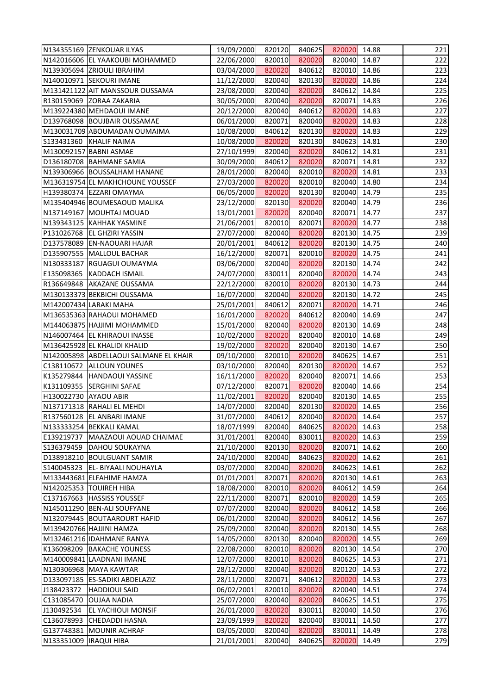|                          | N134355169 ZENKOUAR ILYAS              | 19/09/2000 | 820120 | 840625 | 820020 14.88 |       | 221 |
|--------------------------|----------------------------------------|------------|--------|--------|--------------|-------|-----|
|                          | N142016606 EL YAAKOUBI MOHAMMED        | 22/06/2000 | 820010 | 820020 | 820040       | 14.87 | 222 |
|                          | N139305694 ZRIOULI IBRAHIM             | 03/04/2000 | 820020 | 840612 | 820010 14.86 |       | 223 |
|                          | N140010971 SEKOURI IMANE               | 11/12/2000 | 820040 | 820130 | 820020       | 14.86 | 224 |
|                          | M131421122 AIT MANSSOUR OUSSAMA        | 23/08/2000 | 820040 | 820020 | 840612       | 14.84 | 225 |
|                          | R130159069 ZORAA ZAKARIA               | 30/05/2000 | 820040 | 820020 | 820071       | 14.83 | 226 |
|                          | M139224380 MEHDAOUI IMANE              | 20/12/2000 | 820040 | 840612 | 820020       | 14.83 | 227 |
|                          | D139768098 BOUJBAIR OUSSAMAE           | 06/01/2000 | 820071 | 820040 | 820020       | 14.83 | 228 |
|                          | M130031709 ABOUMADAN OUMAIMA           | 10/08/2000 | 840612 | 820130 | 820020       | 14.83 | 229 |
|                          | S133431360 KHALIF NAIMA                | 10/08/2000 | 820020 | 820130 | 840623       | 14.81 | 230 |
|                          | M130092157 BABNI ASMAE                 | 27/10/1999 | 820040 | 820020 | 840612       | 14.81 | 231 |
|                          | D136180708 BAHMANE SAMIA               | 30/09/2000 | 840612 | 820020 | 820071       | 14.81 | 232 |
|                          | N139306966 BOUSSALHAM HANANE           | 28/01/2000 | 820040 | 820010 | 820020       | 14.81 | 233 |
|                          | M136319754 EL MAKHCHOUNE YOUSSEF       | 27/03/2000 | 820020 | 820010 | 820040       | 14.80 | 234 |
|                          | H139380374 EZZARI OMAYMA               | 06/05/2000 | 820020 | 820130 | 820040 14.79 |       | 235 |
|                          | M135404946 BOUMESAOUD MALIKA           | 23/12/2000 | 820130 | 820020 | 820040       | 14.79 | 236 |
|                          | N137149167 MOUHTAJ MOUAD               | 13/01/2001 | 820020 | 820040 | 820071       | 14.77 | 237 |
|                          | N139343125 KAHHAK YASMINE              | 21/06/2001 | 820010 | 820071 | 820020       | 14.77 | 238 |
|                          | P131026768 EL GHZIRI YASSIN            | 27/07/2000 | 820040 | 820020 | 820130       | 14.75 | 239 |
|                          | D137578089 EN-NAOUARI HAJAR            | 20/01/2001 | 840612 | 820020 | 820130 14.75 |       | 240 |
|                          | D135907555   MALLOUL BACHAR            | 16/12/2000 | 820071 | 820010 | 820020       | 14.75 | 241 |
|                          | N130333187 RGUAGUI OUMAYMA             | 03/06/2000 | 820040 | 820020 | 820130 14.74 |       | 242 |
|                          | E135098365 KADDACH ISMAIL              | 24/07/2000 | 830011 | 820040 | 820020       | 14.74 | 243 |
|                          | R136649848 AKAZANE OUSSAMA             | 22/12/2000 | 820010 | 820020 | 820130       | 14.73 | 244 |
|                          | M130133373 BEKBICHI OUSSAMA            | 16/07/2000 | 820040 | 820020 | 820130 14.72 |       | 245 |
|                          | M142007434 LARAKI MAHA                 | 25/01/2001 | 840612 | 820071 | 820020       | 14.71 | 246 |
|                          | M136535363 RAHAOUI MOHAMED             | 16/01/2000 | 820020 | 840612 | 820040 14.69 |       | 247 |
|                          | M144063875 HAJJIMI MOHAMMED            | 15/01/2000 | 820040 | 820020 | 820130       | 14.69 | 248 |
|                          | N146007464 EL KHIRAOUI INASSE          | 10/02/2000 | 820020 | 820040 | 820010       | 14.68 | 249 |
|                          | M136425928 EL KHALIDI KHALID           | 19/02/2000 | 820020 | 820040 | 820130       | 14.67 | 250 |
|                          | N142005898 ABDELLAOUI SALMANE EL KHAIR | 09/10/2000 | 820010 | 820020 | 840625       | 14.67 | 251 |
|                          | C138110672 ALLOUN YOUNES               | 03/10/2000 | 820040 | 820130 | 820020 14.67 |       | 252 |
|                          | K135279844 HANDAOUI YASSINE            | 16/11/2000 | 820020 | 820040 | 820071       | 14.66 | 253 |
|                          | K131109355 SERGHINI SAFAE              | 07/12/2000 | 820071 | 820020 | 820040       | 14.66 | 254 |
| H130022730 AYAOU ABIR    |                                        | 11/02/2001 | 820020 | 820040 | 820130       | 14.65 | 255 |
|                          | N137171318 RAHALI EL MEHDI             | 14/07/2000 | 820040 | 820130 | 820020       | 14.65 | 256 |
|                          | R137560128 EL ANBARI IMANE             | 31/07/2000 | 840612 | 820040 | 820020       | 14.64 | 257 |
|                          | N133333254 BEKKALI KAMAL               | 18/07/1999 | 820040 | 840625 | 820020       | 14.63 | 258 |
|                          | E139219737   MAAZAOUI AOUAD CHAIMAE    | 31/01/2001 | 820040 | 830011 | 820020       | 14.63 | 259 |
|                          | S136379459   DAHOU SOUKAYNA            | 21/10/2000 | 820130 | 820020 | 820071       | 14.62 | 260 |
|                          | D138918210 BOULGUANT SAMIR             | 24/10/2000 | 820040 | 840623 | 820020       | 14.62 | 261 |
|                          | S140045323   EL- BIYAALI NOUHAYLA      | 03/07/2000 | 820040 | 820020 | 840623       | 14.61 | 262 |
|                          | M133443681 ELFAHIME HAMZA              | 01/01/2001 | 820071 | 820020 | 820130       | 14.61 | 263 |
|                          | N142025353  TOUIREH HIBA               | 18/08/2000 | 820010 | 820020 | 840612       | 14.59 | 264 |
|                          | C137167663 HASSISS YOUSSEF             | 22/11/2000 | 820071 | 820010 | 820020       | 14.59 | 265 |
|                          | N145011290 BEN-ALI SOUFYANE            | 07/07/2000 | 820040 | 820020 | 840612       | 14.58 | 266 |
|                          | N132079445 BOUTAAROURT HAFID           | 06/01/2000 | 820040 | 820020 | 840612       | 14.56 | 267 |
|                          | M139420766 HAJJINI HAMZA               | 25/09/2000 | 820040 | 820020 | 820130       | 14.55 | 268 |
|                          | M132461216 IDAHMANE RANYA              | 14/05/2000 | 820130 | 820040 | 820020       | 14.55 | 269 |
|                          | K136098209 BAKACHE YOUNESS             | 22/08/2000 | 820010 | 820020 | 820130       | 14.54 | 270 |
|                          | M140009841 LAADNANI IMANE              | 12/07/2000 | 820010 | 820020 | 840625       | 14.53 | 271 |
|                          | N130306968 MAYA KAWTAR                 | 28/12/2000 | 820040 | 820020 | 820120       | 14.53 | 272 |
|                          | D133097185 ES-SADIKI ABDELAZIZ         | 28/11/2000 | 820071 | 840612 | 820020       | 14.53 | 273 |
| J138423372               | <b>HADDIOUI SAID</b>                   | 06/02/2001 | 820010 | 820020 | 820040       | 14.51 | 274 |
|                          | C131085470 OUJAA NADIA                 | 25/07/2000 | 820040 | 820020 | 840625       | 14.51 | 275 |
| J130492534               | <b>EL YACHIOUI MONSIF</b>              | 26/01/2000 | 820020 | 830011 | 820040       | 14.50 | 276 |
| C136078993               | <b>CHEDADDI HASNA</b>                  | 23/09/1999 | 820020 | 820040 | 830011       | 14.50 | 277 |
|                          | G137748381 MOUNIR ACHRAF               | 03/05/2000 | 820040 | 820020 | 830011       | 14.49 | 278 |
| N133351009   IRAQUI HIBA |                                        | 21/01/2001 | 820040 | 840625 | 820020       | 14.49 | 279 |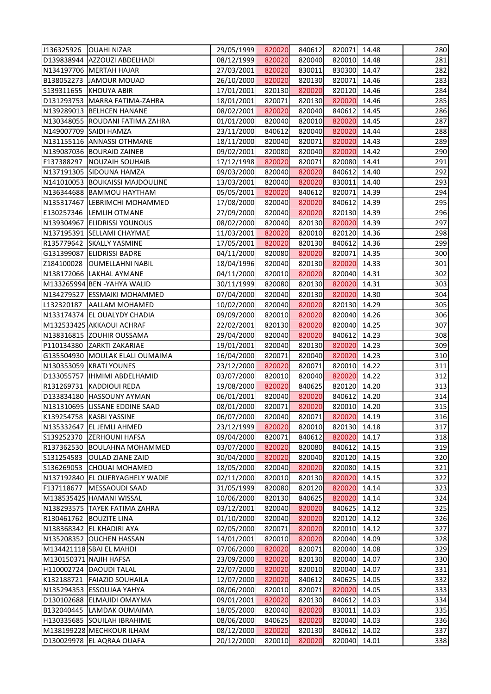| J136325926   OUAHI NIZAR               | 29/05/1999 | 820020 | 840612 | 820071 14.48 |       | 280 |
|----------------------------------------|------------|--------|--------|--------------|-------|-----|
| D139838944 AZZOUZI ABDELHADI           | 08/12/1999 | 820020 | 820040 | 820010 14.48 |       | 281 |
| N134197706 MERTAH HAJAR                | 27/03/2001 | 820020 | 830011 | 830300 14.47 |       | 282 |
| B138052273 JAMOUR MOUAD                | 26/10/2000 | 820020 | 820130 | 820071       | 14.46 | 283 |
| S139311655 KHOUYA ABIR                 | 17/01/2001 | 820130 | 820020 | 820120 14.46 |       | 284 |
| D131293753   MARRA FATIMA-ZAHRA        | 18/01/2001 | 820071 | 820130 | 820020 14.46 |       | 285 |
| N139289013 BELHCEN HANANE              | 08/02/2001 | 820020 | 820040 | 840612 14.45 |       | 286 |
| N130348055 ROUDANI FATIMA ZAHRA        | 01/01/2000 | 820040 | 820010 | 820020       | 14.45 | 287 |
| N149007709 SAIDI HAMZA                 | 23/11/2000 | 840612 | 820040 | 820020 14.44 |       | 288 |
| N131155116 ANNASSI OTHMANE             | 18/11/2000 | 820040 | 820071 | 820020 14.43 |       | 289 |
| N139087036 BOURAID ZAINEB              | 09/02/2001 | 820080 | 820040 | 820020 14.42 |       | 290 |
| F137388297 NOUZAIH SOUHAIB             | 17/12/1998 | 820020 | 820071 | 820080 14.41 |       | 291 |
| N137191305 SIDOUNA HAMZA               | 09/03/2000 | 820040 | 820020 | 840612       | 14.40 | 292 |
| N141010053 BOUKAISSI MAJDOULINE        | 13/03/2001 | 820040 | 820020 | 830011 14.40 |       | 293 |
| N136344688   BAMMOU HAYTHAM            | 05/05/2001 | 820020 | 840612 | 820071 14.39 |       | 294 |
| N135317467 LEBRIMCHI MOHAMMED          | 17/08/2000 | 820040 | 820020 | 840612 14.39 |       | 295 |
| E130257346 LEMLIH OTMANE               | 27/09/2000 | 820040 | 820020 | 820130 14.39 |       | 296 |
| N139304967 ELIDRISSI YOUNOUS           | 08/02/2000 | 820040 | 820130 | 820020 14.39 |       | 297 |
| N137195391 SELLAMI CHAYMAE             | 11/03/2001 | 820020 | 820010 | 820120 14.36 |       | 298 |
| R135779642 SKALLY YASMINE              | 17/05/2001 | 820020 | 820130 | 840612 14.36 |       | 299 |
| G131399087 ELIDRISSI BADRE             | 04/11/2000 | 820080 | 820020 | 820071 14.35 |       | 300 |
| Z184100028 OUMELLAHNI NABIL            | 18/04/1996 | 820040 | 820130 | 820020 14.33 |       | 301 |
| N138172066 LAKHAL AYMANE               | 04/11/2000 | 820010 | 820020 | 820040 14.31 |       | 302 |
| M133265994 BEN -YAHYA WALID            | 30/11/1999 | 820080 | 820130 | 820020 14.31 |       | 303 |
| N134279527 ESSMAIKI MOHAMMED           | 07/04/2000 | 820040 | 820130 | 820020 14.30 |       | 304 |
| L132320187   AALLAM MOHAMED            | 10/02/2000 | 820040 | 820020 | 820130 14.29 |       | 305 |
| N133174374 EL OUALYDY CHADIA           | 09/09/2000 | 820010 | 820020 | 820040 14.26 |       | 306 |
| M132533425 AKKAOUI ACHRAF              | 22/02/2001 | 820130 | 820020 | 820040       | 14.25 | 307 |
| N138316815 ZOUHIR OUSSAMA              | 29/04/2000 | 820040 | 820020 | 840612       | 14.23 | 308 |
| P110134380 ZARKTI ZAKARIAE             | 19/01/2001 | 820040 | 820130 | 820020 14.23 |       | 309 |
| G135504930 MOULAK ELALI OUMAIMA        | 16/04/2000 | 820071 | 820040 | 820020 14.23 |       | 310 |
| N130353059 KRATI YOUNES                | 23/12/2000 | 820020 | 820071 | 820010 14.22 |       | 311 |
| D133055757  IHMIMI ABDELHAMID          | 03/07/2000 | 820010 | 820040 | 820020       | 14.22 | 312 |
| R131269731 KADDIOUI REDA               | 19/08/2000 | 820020 | 840625 | 820120       | 14.20 | 313 |
| D133834180 HASSOUNY AYMAN              | 06/01/2001 | 820040 | 820020 | 840612 14.20 |       | 314 |
| N131310695 LISSANE EDDINE SAAD         | 08/01/2000 | 820071 | 820020 | 820010       | 14.20 | 315 |
| K139254758<br><b>KASBI YASSINE</b>     | 06/07/2000 | 820040 | 820071 | 820020       | 14.19 | 316 |
| N135332647 EL JEMLI AHMED              | 23/12/1999 | 820020 | 820010 | 820130       | 14.18 | 317 |
| S139252370<br><b>ZERHOUNI HAFSA</b>    | 09/04/2000 | 820071 | 840612 | 820020       | 14.17 | 318 |
| <b>BOULAHNA MOHAMMED</b><br>R137362530 | 03/07/2000 | 820020 | 820080 | 840612       | 14.15 | 319 |
| S131254583<br><b>OULAD ZIANE ZAID</b>  | 30/04/2000 | 820020 | 820040 | 820120       | 14.15 | 320 |
| S136269053<br><b>CHOUAI MOHAMED</b>    | 18/05/2000 | 820040 | 820020 | 820080       | 14.15 | 321 |
| N137192840 EL OUERYAGHELY WADIE        | 02/11/2000 | 820010 | 820130 | 820020       | 14.15 | 322 |
| F137118677<br>MESSAOUDI SAAD           | 31/05/1999 | 820080 | 820120 | 820020       | 14.14 | 323 |
| M138535425 HAMANI WISSAL               | 10/06/2000 | 820130 | 840625 | 820020       | 14.14 | 324 |
| N138293575 TAYEK FATIMA ZAHRA          | 03/12/2001 | 820040 | 820020 | 840625       | 14.12 | 325 |
| R130461762 BOUZITE LINA                | 01/10/2000 | 820040 | 820020 | 820120       | 14.12 | 326 |
| N138368342 EL KHADIRI AYA              | 02/05/2000 | 820071 | 820020 | 820010       | 14.12 | 327 |
| N135208352 OUCHEN HASSAN               | 14/01/2001 | 820010 | 820020 | 820040       | 14.09 | 328 |
| M134421118 SBAI EL MAHDI               | 07/06/2000 | 820020 | 820071 | 820040       | 14.08 | 329 |
| M130150371 NAJIH HAFSA                 | 23/09/2000 | 820020 | 820130 | 820040       | 14.07 | 330 |
| H110002724 DAOUDI TALAL                | 22/07/2000 | 820020 | 820010 | 820040       | 14.07 | 331 |
| K132188721 FAIAZID SOUHAILA            | 12/07/2000 | 820020 | 840612 | 840625       | 14.05 | 332 |
| N135294353 ESSOUJAA YAHYA              | 08/06/2000 | 820010 | 820071 | 820020       | 14.05 | 333 |
| D130102688 ELMAJIDI OMAYMA             | 09/01/2001 | 820020 | 820130 | 840612       | 14.03 | 334 |
| B132040445 LAMDAK OUMAIMA              | 18/05/2000 | 820040 | 820020 | 830011       | 14.03 | 335 |
| H130335685 SOUILAH IBRAHIME            | 08/06/2000 | 840625 | 820020 | 820040       | 14.03 | 336 |
| M138199228 MECHKOUR ILHAM              | 08/12/2000 | 820020 | 820130 | 840612       | 14.02 | 337 |
| D130029978 EL AQRAA OUAFA              | 20/12/2000 | 820010 | 820020 | 820040       | 14.01 | 338 |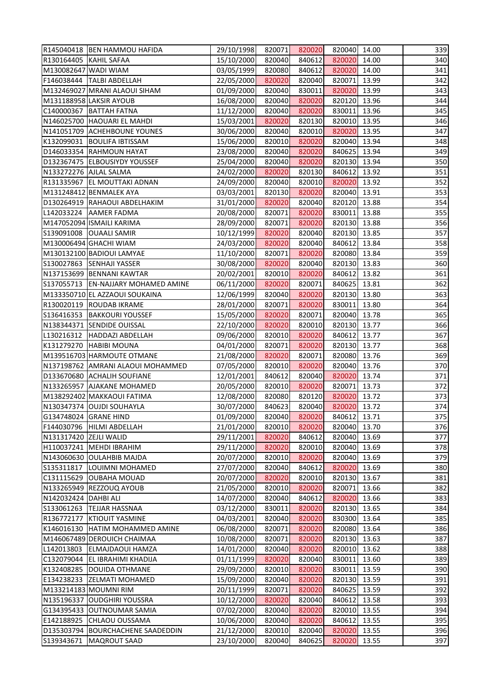| R145040418   BEN HAMMOU HAFIDA                                              | 29/10/1998               | 820071           | 820020           | 820040 14.00                 |                | 339        |
|-----------------------------------------------------------------------------|--------------------------|------------------|------------------|------------------------------|----------------|------------|
| R130164405   KAHIL SAFAA                                                    | 15/10/2000               | 820040           | 840612           | 820020                       | 14.00          | 340        |
| M130082647 WADI WIAM                                                        | 03/05/1999               | 820080           | 840612           | 820020                       | 14.00          | 341        |
| F146038444  TALBI ABDELLAH                                                  | 22/05/2000               | 820020           | 820040           | 820071 13.99                 |                | 342        |
| M132469027 MRANI ALAOUI SIHAM                                               | 01/09/2000               | 820040           | 830011           | 820020 13.99                 |                | 343        |
| M131188958 LAKSIR AYOUB                                                     | 16/08/2000               | 820040           | 820020           | 820120 13.96                 |                | 344        |
| C140000367   BATTAH FATNA                                                   | 11/12/2000               | 820040           | 820020           | 830011 13.96                 |                | 345        |
| N146025700 HAOUARI EL MAHDI                                                 | 15/03/2001               | 820020           | 820130           | 820010 13.95                 |                | 346        |
| N141051709 ACHEHBOUNE YOUNES                                                | 30/06/2000               | 820040           | 820010           | 820020                       | 13.95          | 347        |
| K132099031 BOULIFA IBTISSAM                                                 | 15/06/2000               | 820010           | 820020           | 820040 13.94                 |                | 348        |
| D146033354 RAHMOUN HAYAT                                                    | 23/08/2000               | 820040           | 820020           | 840625 13.94                 |                | 349        |
| D132367475 ELBOUSIYDY YOUSSEF                                               | 25/04/2000               | 820040           | 820020           | 820130 13.94                 |                | 350        |
| N133272276 AJLAL SALMA                                                      | 24/02/2000               | 820020           | 820130           | 840612                       | 13.92          | 351        |
| R131335967 EL MOUTTAKI ADNAN                                                | 24/09/2000               | 820040           | 820010           | 820020 13.92                 |                | 352        |
| M131248412 BENMALEK AYA                                                     | 03/03/2001               | 820130           | 820020           | 820040 13.91                 |                | 353        |
| D130264919 RAHAOUI ABDELHAKIM                                               | 31/01/2000               | 820020           | 820040           | 820120 13.88                 |                | 354        |
| L142033224 AAMER FADMA                                                      | 20/08/2000               | 820071           | 820020           | 830011 13.88                 |                | 355        |
| M147052094 ISMAILI KARIMA                                                   | 28/09/2000               | 820071           | 820020           | 820130 13.88                 |                | 356        |
| S139091008 OUAALI SAMIR                                                     | 10/12/1999               | 820020           | 820040           | 820130                       | 13.85          | 357        |
| M130006494 GHACHI WIAM                                                      | 24/03/2000               | 820020           | 820040           | 840612 13.84                 |                | 358        |
| M130132100 BADIOUI LAMYAE                                                   | 11/10/2000               | 820071           | 820020           | 820080 13.84                 |                | 359        |
| S130027863 SENHAJI YASSER                                                   | 30/08/2000               | 820020           | 820040           | 820130 13.83                 |                | 360        |
| N137153699 BENNANI KAWTAR                                                   |                          | 820010           | 820020           | 840612                       | 13.82          | 361        |
| S137055713 EN-NAJJARY MOHAMED AMINE                                         | 20/02/2001               |                  |                  |                              | 13.81          | 362        |
|                                                                             | 06/11/2000               | 820020           | 820071           | 840625                       |                |            |
| M133350710 EL AZZAOUI SOUKAINA                                              | 12/06/1999               | 820040           | 820020           | 820130 13.80                 |                | 363        |
| R130020119 ROUDAB IKRAME                                                    | 28/01/2000               | 820071           | 820020           | 830011                       | 13.80          | 364        |
| S136416353   BAKKOURI YOUSSEF                                               | 15/05/2000               | 820020           | 820071           | 820040 13.78                 |                | 365        |
| N138344371 SENDIDE OUISSAL                                                  | 22/10/2000               | 820020           | 820010           | 820130 13.77                 |                | 366        |
| L130216312  HADDAZI ABDELLAH                                                | 09/06/2000               | 820010           | 820020           | 840612                       | 13.77          | 367        |
| K131279270 HABIBI MOUNA                                                     | 04/01/2000               | 820071           | 820020           | 820130 13.77                 |                | 368        |
| M139516703 HARMOUTE OTMANE<br>N137198762 AMRANI ALAOUI MOHAMMED             | 21/08/2000<br>07/05/2000 | 820020<br>820010 | 820071<br>820020 | 820080 13.76<br>820040 13.76 |                | 369<br>370 |
| D133670680 ACHALIH SOUFIANE                                                 | 12/01/2001               | 840612           | 820040           | 820020                       | 13.74          | 371        |
| N133265957 AJAKANE MOHAMED                                                  |                          |                  |                  |                              |                |            |
| M138292402 MAKKAOUI FATIMA                                                  | 20/05/2000<br>12/08/2000 | 820010<br>820080 | 820020<br>820120 | 820071<br>820020             | 13.73<br>13.72 | 372<br>373 |
| N130347374 OUJDI SOUHAYLA                                                   | 30/07/2000               | 840623           | 820040           | 820020                       | 13.72          | 374        |
| G134748024 GRANE HIND                                                       | 01/09/2000               | 820040           | 820020           | 840612                       | 13.71          | 375        |
| F144030796 HILMI ABDELLAH                                                   | 21/01/2000               | 820010           | 820020           | 820040                       | 13.70          | 376        |
|                                                                             |                          |                  |                  | 820040                       |                | 377        |
| N131317420 ZEJLI WALID                                                      | 29/11/2001               | 820020           | 840612           |                              | 13.69          |            |
| H110037241   MEHDI IBRAHIM                                                  | 29/11/2000               | 820020           | 820010           | 820040                       | 13.69          | 378        |
| N143060630 OULAHBIB MAJDA                                                   | 20/07/2000               | 820010           | 820020           | 820040                       | 13.69          | 379        |
| S135311817<br>LOUIMNI MOHAMED                                               | 27/07/2000               | 820040           | 840612           | 820020                       | 13.69          | 380        |
| C131115629 OUBAHA MOUAD                                                     | 20/07/2000               | 820020           | 820010           | 820130 13.67                 |                | 381        |
| N133265949  REZZOUQ AYOUB                                                   | 21/05/2000               | 820010           | 820020           | 820071                       | 13.66          | 382<br>383 |
| N142032424 DAHBI ALI                                                        | 14/07/2000               | 820040           | 840612           | 820020                       | 13.66          |            |
| S133061263<br><b>TEJJAR HASSNAA</b><br>R136772177<br><b>KTIOUIT YASMINE</b> | 03/12/2000<br>04/03/2001 | 830011<br>820040 | 820020<br>820020 | 820130<br>830300             | 13.65<br>13.64 | 384<br>385 |
| K146016130 HATIM MOHAMMED AMINE                                             | 06/08/2000               | 820071           | 820020           | 820080                       | 13.64          | 386        |
| M146067489 DEROUICH CHAIMAA                                                 | 10/08/2000               | 820071           | 820020           | 820130                       | 13.63          | 387        |
|                                                                             |                          |                  |                  |                              |                |            |
| L142013803<br><b>ELMAJDAOUI HAMZA</b><br>C132079044 EL IBRAHIMI KHADIJA     | 14/01/2000<br>01/11/1999 | 820040<br>820020 | 820020<br>820040 | 820010 13.62<br>830011       | 13.60          | 388<br>389 |
|                                                                             |                          |                  |                  |                              |                |            |
| K132408285<br><b>DOUIDA OTHMANE</b><br>E134238233 ZELMATI MOHAMED           | 29/09/2000<br>15/09/2000 | 820010<br>820040 | 820020           | 830011<br>820130             | 13.59<br>13.59 | 390<br>391 |
|                                                                             |                          |                  | 820020           |                              |                |            |
| M133214183 MOUMNI RIM                                                       | 20/11/1999               | 820071           | 820020           | 840625                       | 13.59          | 392        |
| N135196337 OUDGHIRI YOUSSRA                                                 | 10/12/2000               | 820020           | 820040           | 840612                       | 13.58          | 393        |
| G134395433 OUTNOUMAR SAMIA                                                  | 07/02/2000               | 820040           | 820020           | 820010                       | 13.55          | 394        |
| E142188925<br><b>CHLAOU OUSSAMA</b>                                         | 10/06/2000               | 820040           | 820020           | 840612                       | 13.55          | 395        |
| D135303794 BOURCHACHENE SAADEDDIN                                           | 21/12/2000               | 820010           | 820040           | 820020                       | 13.55          | 396        |
| S139343671<br><b>MAQROUT SAAD</b>                                           | 23/10/2000               | 820040           | 840625           | 820020                       | 13.55          | 397        |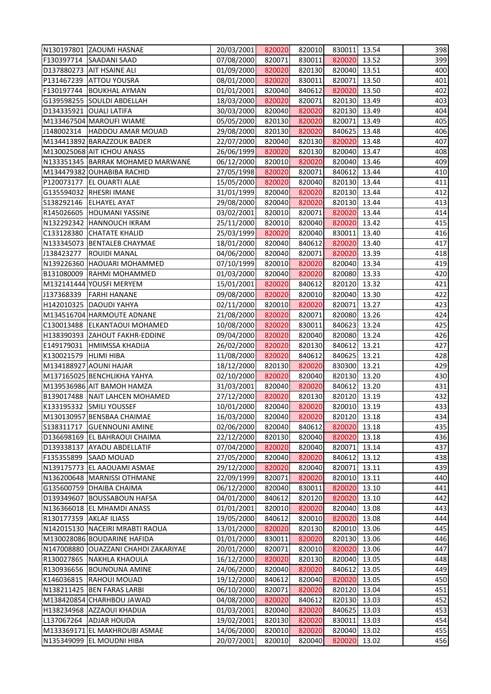| N130197801 ZAOUMI HASNAE                                     | 20/03/2001               | 820020           | 820010           | 830011 13.54           |       | 398        |
|--------------------------------------------------------------|--------------------------|------------------|------------------|------------------------|-------|------------|
| F130397714 SAADANI SAAD                                      | 07/08/2000               | 820071           | 830011           | 820020 13.52           |       | 399        |
| D137880273 AIT HSAINE ALI                                    | 01/09/2000               | 820020           | 820130           | 820040 13.51           |       | 400        |
| P131467239 ATTOU YOUSRA                                      | 08/01/2000               | 820020           | 830011           | 820071 13.50           |       | 401        |
| F130197744   BOUKHAL AYMAN                                   | 01/01/2001               | 820040           | 840612           | 820020 13.50           |       | 402        |
| G139598255 SOULDI ABDELLAH                                   | 18/03/2000               | 820020           | 820071           | 820130 13.49           |       | 403        |
| D134335921 OUALI LATIFA                                      | 30/03/2000               | 820040           | 820020           | 820130 13.49           |       | 404        |
| M133467504 MAROUFI WIAME                                     | 05/05/2000               | 820130           | 820020           | 820071                 | 13.49 | 405        |
| J148002314 HADDOU AMAR MOUAD                                 | 29/08/2000               | 820130           | 820020           | 840625                 | 13.48 | 406        |
| M134413892 BARAZZOUK BADER                                   | 22/07/2000               | 820040           | 820130           | 820020 13.48           |       | 407        |
| M130025068 AIT ICHOU ANASS                                   | 26/06/1999               | 820020           | 820130           | 820040 13.47           |       | 408        |
| N133351345 BARRAK MOHAMED MARWANE                            | 06/12/2000               | 820010           | 820020           | 820040 13.46           |       | 409        |
| M134479382 OUHABIBA RACHID                                   | 27/05/1998               | 820020           | 820071           | 840612                 | 13.44 | 410        |
| P120073177 EL OUARTI ALAE                                    | 15/05/2000               | 820020           | 820040           | 820130 13.44           |       | 411        |
| G135594032 RHESRI IMANE                                      | 31/01/1999               | 820040           | 820020           | 820130 13.44           |       | 412        |
| S138292146 ELHAYEL AYAT                                      | 29/08/2000               | 820040           | 820020           | 820130 13.44           |       | 413        |
| R145026605 HOUMANI YASSINE                                   | 03/02/2001               | 820010           | 820071           | 820020 13.44           |       | 414        |
| N132292342 HANNOUCH IKRAM                                    | 25/11/2000               | 820010           | 820040           | 820020                 | 13.42 | 415        |
| C133128380 CHATATE KHALID                                    | 25/03/1999               | 820020           | 820040           | 830011                 | 13.40 | 416        |
| N133345073   BENTALEB CHAYMAE                                | 18/01/2000               | 820040           | 840612           | 820020 13.40           |       | 417        |
| J138423277  ROUIDI MANAL                                     | 04/06/2000               | 820040           | 820071           | 820020 13.39           |       | 418        |
| N139226360 HAOUARI MOHAMMED                                  | 07/10/1999               | 820010           | 820020           | 820040 13.34           |       | 419        |
| B131080009 RAHMI MOHAMMED                                    | 01/03/2000               | 820040           | 820020           | 820080 13.33           |       | 420        |
| M132141444 YOUSFI MERYEM                                     | 15/01/2001               | 820020           | 840612           | 820120                 | 13.32 | 421        |
| J137368339   FARHI HANANE                                    | 09/08/2000               | 820020           | 820010           | 820040 13.30           |       | 422        |
| H142010325 DAOUDI YAHYA                                      | 02/11/2000               | 820010           | 820020           | 820071                 | 13.27 | 423        |
|                                                              |                          |                  |                  |                        |       | 424        |
| M134516704 HARMOUTE ADNANE                                   | 21/08/2000               | 820020           | 820071           | 820080 13.26           |       |            |
| C130013488 ELKANTAOUI MOHAMED                                | 10/08/2000               | 820020           | 830011           | 840623                 | 13.24 | 425        |
| H138390393 ZAHOUT FAKHR-EDDINE                               | 09/04/2000<br>26/02/2000 | 820020           | 820040           | 820080                 | 13.24 | 426<br>427 |
| E149179031 HMIMSSA KHADIJA                                   |                          | 820020           | 820130<br>840612 | 840612<br>840625 13.21 | 13.21 |            |
| K130021579 HLIMI HIBA<br>M134188927 AOUNI HAJAR              | 11/08/2000<br>18/12/2000 | 820020<br>820130 |                  | 830300 13.21           |       | 428<br>429 |
| M137165025 BENCHLIKHA YAHYA                                  |                          | 820020           | 820020<br>820040 | 820130 13.20           |       | 430        |
|                                                              | 02/10/2000               |                  |                  |                        |       | 431        |
| M139536986 AIT BAMOH HAMZA<br>B139017488 NAIT LAHCEN MOHAMED | 31/03/2001               | 820040<br>820020 | 820020<br>820130 | 840612<br>820120 13.19 | 13.20 | 432        |
|                                                              | 27/12/2000               |                  | 820020           |                        |       |            |
| K133195332 SMILI YOUSSEF                                     | 10/01/2000               | 820040           |                  | 820010                 | 13.19 | 433        |
| M130130957 BENSBAA CHAIMAE                                   | 16/03/2000               | 820040           | 820020           | 820120                 | 13.18 | 434        |
| S138311717 GUENNOUNI AMINE                                   | 02/06/2000               | 820040           | 840612           | 820020                 | 13.18 | 435        |
| D136698169 EL BAHRAOUI CHAIMA                                | 22/12/2000               | 820130           | 820040           | 820020                 | 13.18 | 436        |
| D139338137 AYAOU ABDELLATIF                                  | 07/04/2000               | 820020           | 820040           | 820071                 | 13.14 | 437        |
| F135355899<br><b>SAAD MOUAD</b>                              | 27/05/2000               | 820040           | 820020           | 840612                 | 13.12 | 438        |
| N139175773 EL AAOUAMI ASMAE                                  | 29/12/2000               | 820020           | 820040           | 820071                 | 13.11 | 439        |
| N136200648   MARNISSI OTHMANE                                | 22/09/1999               | 820071           | 820020           | 820010 13.11           |       | 440        |
| G135600759 DHAIBA CHAIMA                                     | 06/12/2000               | 820040           | 830011           | 820020                 | 13.10 | 441        |
| D139349607 BOUSSABOUN HAFSA                                  | 04/01/2000               | 840612           | 820120           | 820020                 | 13.10 | 442        |
| N136366018 EL MHAMDI ANASS                                   | 01/01/2001               | 820010           | 820020           | 820040                 | 13.08 | 443        |
| R130177359 AKLAF ILIASS                                      | 19/05/2000               | 840612           | 820010           | 820020                 | 13.08 | 444        |
| N142015130 NACEIRI MRABTI RAOUA                              | 13/01/2000               | 820020           | 820130           | 820010                 | 13.06 | 445        |
| M130028086 BOUDARINE HAFIDA                                  | 01/01/2000               | 830011           | 820020           | 820130                 | 13.06 | 446        |
| N147008880 OUAZZANI CHAHDI ZAKARIYAE                         | 20/01/2000               | 820071           | 820010           | 820020                 | 13.06 | 447        |
| R130027865 NAKHLA KHAOULA                                    | 16/12/2000               | 820020           | 820130           | 820040                 | 13.05 | 448        |
| R130936656 BOUNOUNA AMINE                                    | 24/06/2000               | 820040           | 820020           | 840612                 | 13.05 | 449        |
| K146036815 RAHOUI MOUAD                                      | 19/12/2000               | 840612           | 820040           | 820020                 | 13.05 | 450        |
| N138211425 BEN FARAS LARBI                                   | 06/10/2000               | 820071           | 820020           | 820120                 | 13.04 | 451        |
| M138420854 CHARHBOU JAWAD                                    | 04/08/2000               | 820020           | 840612           | 820130                 | 13.03 | 452        |
| H138234968 AZZAOUI KHADIJA                                   | 01/03/2001               | 820040           | 820020           | 840625                 | 13.03 | 453        |
| L137067264<br><b>ADJAR HOUDA</b>                             | 19/02/2001               | 820130           | 820020           | 830011                 | 13.03 | 454        |
| M133369171 EL MAKHROUBI ASMAE                                | 14/06/2000               | 820010           | 820020           | 820040 13.02           |       | 455        |
| N135349099 EL MOUDNI HIBA                                    | 20/07/2001               | 820010           | 820040           | 820020                 | 13.02 | 456        |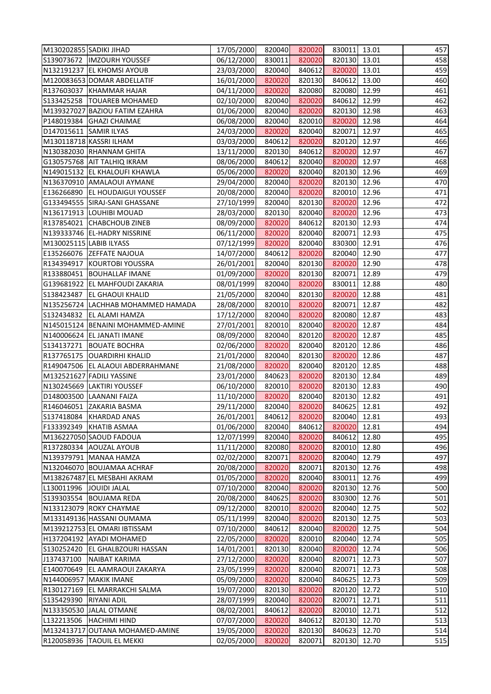| M130202855 SADIKI JIHAD |                                                          | 17/05/2000               | 820040           | 820020           | 830011 13.01     |                | 457        |
|-------------------------|----------------------------------------------------------|--------------------------|------------------|------------------|------------------|----------------|------------|
|                         | S139073672  IMZOURH YOUSSEF                              | 06/12/2000               | 830011           | 820020           | 820130 13.01     |                | 458        |
|                         | N132191237 EL KHOMSI AYOUB                               | 23/03/2000               | 820040           | 840612           | 820020           | 13.01          | 459        |
|                         | M120083653 DOMAR ABDELLATIF                              | 16/01/2000               | 820020           | 820130           | 840612           | 13.00          | 460        |
|                         | R137603037 KHAMMAR HAJAR                                 | 04/11/2000               | 820020           | 820080           | 820080 12.99     |                | 461        |
|                         | S133425258  TOUAREB MOHAMED                              | 02/10/2000               | 820040           | 820020           | 840612           | 12.99          | 462        |
|                         | M139327027 BAZIOU FATIM EZAHRA                           | 01/06/2000               | 820040           | 820020           | 820130 12.98     |                | 463        |
|                         | P148019384 GHAZI CHAIMAE                                 | 06/08/2000               | 820040           | 820010           | 820020           | 12.98          | 464        |
| D147015611 SAMIR ILYAS  |                                                          | 24/03/2000               | 820020           | 820040           | 820071           | 12.97          | 465        |
|                         | M130118718 KASSRI ILHAM                                  | 03/03/2000               | 840612           | 820020           | 820120 12.97     |                | 466        |
|                         | N130382030 RHANNAM GHITA                                 | 13/11/2000               | 820130           | 840612           | 820020           | 12.97          | 467        |
|                         | G130575768 AIT TALHIQ IKRAM                              | 08/06/2000               | 840612           | 820040           | 820020 12.97     |                | 468        |
|                         | N149015132 EL KHALOUFI KHAWLA                            | 05/06/2000               | 820020           | 820040           | 820130           | 12.96          | 469        |
|                         | N136370910 AMALAOUI AYMANE                               | 29/04/2000               | 820040           | 820020           | 820130           | 12.96          | 470        |
|                         | E136266890 EL HOUDAIGUI YOUSSEF                          | 20/08/2000               | 820040           | 820020           | 820010 12.96     |                | 471        |
|                         | G133494555 SIRAJ-SANI GHASSANE                           | 27/10/1999               | 820040           | 820130           | 820020           | 12.96          | 472        |
|                         | N136171913 LOUHIBI MOUAD                                 | 28/03/2000               | 820130           | 820040           | 820020 12.96     |                | 473        |
|                         | R137854021 CHABCHOUB ZINEB                               | 08/09/2000               | 820020           | 840612           | 820130           | 12.93          | 474        |
|                         | N139333746 EL-HADRY NISSRINE                             | 06/11/2000               | 820020           | 820040           | 820071           | 12.93          | 475        |
|                         | M130025115 LABIB ILYASS                                  | 07/12/1999               | 820020           | 820040           | 830300 12.91     |                | 476        |
|                         | E135266076 ZEFFATE NAJOUA                                | 14/07/2000               | 840612           | 820020           | 820040           | 12.90          | 477        |
|                         | R134394917 KOURTOBI YOUSSRA                              | 26/01/2001               | 820040           | 820130           | 820020           | 12.90          | 478        |
|                         | R133880451 BOUHALLAF IMANE                               | 01/09/2000               | 820020           | 820130           | 820071           | 12.89          | 479        |
|                         | G139681922 EL MAHFOUDI ZAKARIA                           | 08/01/1999               | 820040           | 820020           | 830011           | 12.88          | 480        |
|                         | S138423487 EL GHAOUI KHALID                              |                          |                  |                  | 820020 12.88     |                | 481        |
|                         | N135256724 LACHHAB MOHAMMED HAMADA                       | 21/05/2000<br>28/08/2000 | 820040<br>820010 | 820130<br>820020 | 820071           | 12.87          | 482        |
|                         | S132434832 EL ALAMI HAMZA                                | 17/12/2000               | 820040           | 820020           | 820080 12.87     |                | 483        |
|                         |                                                          |                          |                  |                  |                  |                |            |
|                         | N145015124   BENAINI MOHAMMED-AMINE                      | 27/01/2001               | 820010           | 820040           | 820020           | 12.87          | 484        |
|                         | N140006624 EL JANATI IMANE<br>S134137271   BOUATE BOCHRA | 08/09/2000<br>02/06/2000 | 820040<br>820020 | 820120<br>820040 | 820020<br>820120 | 12.87<br>12.86 | 485<br>486 |
|                         | R137765175   OUARDIRHI KHALID                            | 21/01/2000               | 820040           | 820130           | 820020           | 12.86          | 487        |
|                         | R149047506 EL ALAOUI ABDERRAHMANE                        | 21/08/2000               | 820020           | 820040           | 820120 12.85     |                | 488        |
|                         | M132521627 FADILI YASSINE                                | 23/01/2000               | 840623           | 820020           | 820130           | 12.84          | 489        |
|                         | N130245669 LAKTIRI YOUSSEF                               | 06/10/2000               | 820010           | 820020           | 820130           | 12.83          | 490        |
|                         | D148003500 LAANANI FAIZA                                 | 11/10/2000               | 820020           | 820040           | 820130           | 12.82          | 491        |
|                         | R146046051 ZAKARIA BASMA                                 | 29/11/2000               | 820040           | 820020           | 840625           | 12.81          | 492        |
| S137418084              | <b>KHARDAD ANAS</b>                                      | 26/01/2001               | 840612           | 820020           | 820040           | 12.81          | 493        |
|                         | F133392349 KHATIB ASMAA                                  | 01/06/2000               | 820040           | 840612           | 820020           | 12.81          | 494        |
|                         | M136227050 SAOUD FADOUA                                  | 12/07/1999               | 820040           | 820020           | 840612           | 12.80          | 495        |
|                         | R137280334 AOUZAL AYOUB                                  | 11/11/2000               | 820080           | 820020           | 820010           | 12.80          | 496        |
|                         | N139379791 MANAA HAMZA                                   | 02/02/2000               | 820071           | 820020           | 820040           | 12.79          | 497        |
|                         | N132046070 BOUJAMAA ACHRAF                               | 20/08/2000               | 820020           | 820071           | 820130           | 12.76          | 498        |
|                         | M138267487 EL MESBAHI AKRAM                              | 01/05/2000               | 820020           | 820040           | 830011           | 12.76          | 499        |
|                         | L130011996  JOUIDI JALAL                                 | 07/10/2000               | 820040           | 820020           | 820130           | 12.76          | 500        |
|                         | S139303554 BOUJAMA REDA                                  | 20/08/2000               | 840625           | 820020           | 830300           | 12.76          | 501        |
|                         | N133123079 ROKY CHAYMAE                                  | 09/12/2000               | 820010           | 820020           | 820040           | 12.75          | 502        |
|                         | M133149136 HASSANI OUMAMA                                | 05/11/1999               | 820040           | 820020           | 820130           | 12.75          | 503        |
|                         | M139212753 EL OMARI IBTISSAM                             | 07/10/2000               | 840612           | 820040           | 820020           | 12.75          | 504        |
|                         | H137204192 AYADI MOHAMED                                 | 22/05/2000               | 820020           | 820010           | 820040           | 12.74          | 505        |
|                         | S130252420 EL GHALBZOURI HASSAN                          | 14/01/2001               | 820130           | 820040           | 820020           | 12.74          | 506        |
| J137437100              | <b>NAIBAT KARIMA</b>                                     | 27/12/2000               | 820020           | 820040           | 820071           | 12.73          | 507        |
|                         | E140070649 EL AAMRAOUI ZAKARYA                           | 23/05/1999               | 820020           | 820040           | 820071           | 12.73          | 508        |
|                         | N144006957 MAKIK IMANE                                   | 05/09/2000               | 820020           | 820040           | 840625           | 12.73          | 509        |
|                         | R130127169 EL MARRAKCHI SALMA                            | 19/07/2000               | 820130           | 820020           | 820120           | 12.72          | 510        |
| S135429390 RIYANI ADIL  |                                                          | 28/07/1999               | 820040           | 820020           | 820071           | 12.71          | 511        |
|                         | N133350530 JALAL OTMANE                                  | 08/02/2001               | 840612           | 820020           | 820010           | 12.71          | 512        |
| L132213506              | <b>HACHIMI HIND</b>                                      | 07/07/2000               | 820020           | 840612           | 820130           | 12.70          | 513        |
|                         | M132413717 OUTANA MOHAMED-AMINE                          | 19/05/2000               | 820020           | 820130           | 840623           | 12.70          | 514        |
|                         | R120058936 TAOUIL EL MEKKI                               | 02/05/2000               | 820020           | 820071           | 820130           | 12.70          | 515        |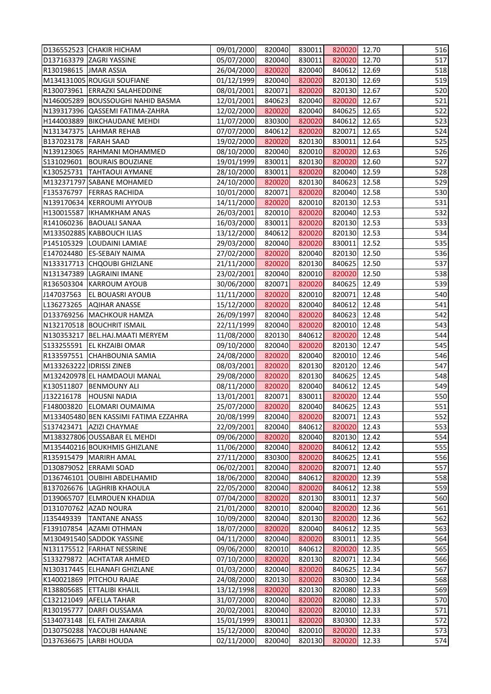| D136552523 CHAKIR HICHAM                                | 09/01/2000               | 820040           | 830011           | 820020 12.70           |       | 516        |
|---------------------------------------------------------|--------------------------|------------------|------------------|------------------------|-------|------------|
| D137163379 ZAGRI YASSINE                                | 05/07/2000               | 820040           | 830011           | 820020 12.70           |       | 517        |
| R130198615   JMAR ASSIA                                 | 26/04/2000               | 820020           | 820040           | 840612                 | 12.69 | 518        |
| M134131005 ROUGUI SOUFIANE                              | 01/12/1999               | 820040           | 820020           | 820130 12.69           |       | 519        |
| R130073961 ERRAZKI SALAHEDDINE                          | 08/01/2001               | 820071           | 820020           | 820130 12.67           |       | 520        |
| N146005289 BOUSSOUGHI NAHID BASMA                       | 12/01/2001               | 840623           | 820040           | 820020                 | 12.67 | 521        |
| N139317396 QASSEMI FATIMA-ZAHRA                         | 12/02/2000               | 820020           | 820040           | 840625 12.65           |       | 522        |
| H144003889   BIKCHAUDANE MEHDI                          | 11/07/2000               | 830300           | 820020           | 840612                 | 12.65 | 523        |
| N131347375 LAHMAR REHAB                                 | 07/07/2000               | 840612           | 820020           | 820071                 | 12.65 | 524        |
| B137023178   FARAH SAAD                                 | 19/02/2000               | 820020           | 820130           | 830011                 | 12.64 | 525        |
| N139123065 RAHMANI MOHAMMED                             | 08/10/2000               | 820040           | 820010           | 820020                 | 12.63 | 526        |
| S131029601   BOURAIS BOUZIANE                           | 19/01/1999               | 830011           | 820130           | 820020 12.60           |       | 527        |
| K130525731 TAHTAOUI AYMANE                              | 28/10/2000               | 830011           | 820020           | 820040                 | 12.59 | 528        |
| M132371797 SABANE MOHAMED                               | 24/10/2000               | 820020           | 820130           | 840623                 | 12.58 | 529        |
| F135376797   FERRAS RACHIDA                             | 10/01/2000               | 820071           | 820020           | 820040 12.58           |       | 530        |
| N139170634 KERROUMI AYYOUB                              | 14/11/2000               | 820020           | 820010           | 820130 12.53           |       | 531        |
| H130015587   IKHAMKHAM ANAS                             | 26/03/2001               | 820010           | 820020           | 820040 12.53           |       | 532        |
| R141060236   BAOUALI SANAA                              | 16/03/2000               | 830011           | 820020           | 820130                 | 12.53 | 533        |
| M133502885 KABBOUCH ILIAS                               | 13/12/2000               | 840612           | 820020           | 820130 12.53           |       | 534        |
| P145105329 LOUDAINI LAMIAE                              | 29/03/2000               | 820040           | 820020           | 830011                 | 12.52 | 535        |
| E147024480 ES-SEBAIY NAIMA                              | 27/02/2000               | 820020           | 820040           | 820130 12.50           |       | 536        |
| N133317713 CHQOUBI GHIZLANE                             |                          | 820020           | 820130           | 840625 12.50           |       | 537        |
|                                                         | 21/11/2000               | 820040           | 820010           |                        | 12.50 | 538        |
| N131347389 LAGRAINI IMANE<br>R136503304 KARROUM AYOUB   | 23/02/2001               | 820071           | 820020           | 820020<br>840625       | 12.49 | 539        |
|                                                         | 30/06/2000               |                  |                  |                        |       |            |
| J147037563 EL BOUASRI AYOUB                             | 11/11/2000               | 820020           | 820010           | 820071                 | 12.48 | 540        |
| L136273265 AQIHAR ANASSE                                | 15/12/2000               | 820020           | 820040           | 840612                 | 12.48 | 541        |
| D133769256 MACHKOUR HAMZA                               | 26/09/1997               | 820040           | 820020           | 840623                 | 12.48 | 542        |
| N132170518 BOUCHRIT ISMAIL                              | 22/11/1999               | 820040           | 820020           | 820010                 | 12.48 | 543        |
| N130353217   BEL.HAJ.MAATI MERYEM                       | 11/08/2000               | 820130           | 840612           | 820020                 | 12.48 | 544        |
| S133255591 EL KHZAIBI OMAR                              | 09/10/2000               | 820040           | 820020<br>820040 | 820130 12.47<br>820010 |       | 545<br>546 |
| R133597551 CHAHBOUNIA SAMIA<br>M133263222 IDRISSI ZINEB | 24/08/2000<br>08/03/2001 | 820020<br>820020 | 820130           | 820120 12.46           | 12.46 | 547        |
| M132420978 EL HAMDAOUI MANAL                            | 29/08/2000               | 820020           | 820130           | 840625                 | 12.45 | 548        |
| K130511807   BENMOUNY ALI                               | 08/11/2000               | 820020           | 820040           | 840612                 | 12.45 | 549        |
| J132216178<br><b>HOUSNI NADIA</b>                       | 13/01/2001               | 820071           | 830011           | 820020                 | 12.44 | 550        |
| F148003820 ELOMARI OUMAIMA                              | 25/07/2000               | 820020           | 820040           | 840625                 | 12.43 | 551        |
| M133405480 BEN KASSIMI FATIMA EZZAHRA                   | 20/08/1999               | 820040           | 820020           | 820071                 | 12.43 | 552        |
| S137423471   AZIZI CHAYMAE                              | 22/09/2001               | 820040           | 840612           | 820020                 | 12.43 | 553        |
| M138327806 OUSSABAR EL MEHDI                            | 09/06/2000               | 820020           | 820040           | 820130                 | 12.42 | 554        |
| M135440216 BOUKHMIS GHIZLANE                            | 11/06/2000               | 820040           | 820020           | 840612                 | 12.42 | 555        |
| R135915479 MARIRH AMAL                                  | 27/11/2000               | 830300           | 820020           | 840625                 | 12.41 | 556        |
| D130879052 ERRAMI SOAD                                  | 06/02/2001               | 820040           | 820020           | 820071                 | 12.40 | 557        |
| D136746101 OUBIHI ABDELHAMID                            | 18/06/2000               | 820040           | 840612           | 820020                 | 12.39 | 558        |
| B137026676 LAGHRIB KHAOULA                              | 22/05/2000               | 820040           | 820020           | 840612                 | 12.38 | 559        |
| D139065707 ELMROUEN KHADIJA                             | 07/04/2000               | 820020           | 820130           | 830011                 | 12.37 | 560        |
| D131070762 AZAD NOURA                                   | 21/01/2000               | 820010           | 820040           | 820020                 | 12.36 | 561        |
| J135449339<br><b>TANTANE ANASS</b>                      | 10/09/2000               | 820040           | 820130           | 820020                 | 12.36 | 562        |
| F139107854 AZAMI OTHMAN                                 | 18/07/2000               | 820020           | 820040           | 840612                 | 12.35 | 563        |
| M130491540 SADDOK YASSINE                               | 04/11/2000               | 820040           | 820020           | 830011                 | 12.35 | 564        |
| N131175512 FARHAT NESSRINE                              | 09/06/2000               | 820010           | 840612           | 820020                 | 12.35 | 565        |
| S133279872 ACHTATAR AHMED                               | 07/10/2000               | 820020           | 820130           | 820071                 | 12.34 | 566        |
| N130317445 ELHANAFI GHIZLANE                            | 01/03/2000               | 820040           | 820020           | 840625                 | 12.34 | 567        |
| K140021869   PITCHOU RAJAE                              | 24/08/2000               | 820130           | 820020           | 830300                 | 12.34 | 568        |
| R138805685 ETTALIBI KHALIL                              | 13/12/1998               | 820020           | 820130           | 820080                 | 12.33 | 569        |
| C132121049 AFELLA TAHAR                                 | 31/07/2000               | 820040           | 820020           | 820080                 | 12.33 | 570        |
| R130195777<br>DARFI OUSSAMA                             | 20/02/2001               | 820040           | 820020           | 820010                 | 12.33 | 571        |
| S134073148<br><b>EL FATHI ZAKARIA</b>                   | 15/01/1999               | 830011           | 820020           | 830300                 | 12.33 | 572        |
| D130750288 YACOUBI HANANE                               | 15/12/2000               | 820040           | 820010           | 820020                 | 12.33 | 573        |
| D137636675 LARBI HOUDA                                  | 02/11/2000               | 820040           | 820130           | 820020                 | 12.33 | 574        |
|                                                         |                          |                  |                  |                        |       |            |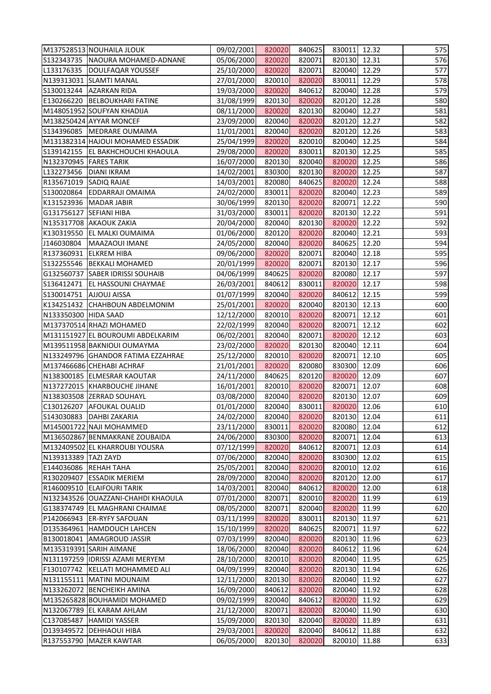| M137528513 NOUHAILA JLOUK           | 09/02/2001 | 820020 | 840625 | 830011 12.32 |       | 575 |
|-------------------------------------|------------|--------|--------|--------------|-------|-----|
| S132343735   NAOURA MOHAMED-ADNANE  | 05/06/2000 | 820020 | 820071 | 820130 12.31 |       | 576 |
| L133176335  DOULFAQAR YOUSSEF       | 25/10/2000 | 820020 | 820071 | 820040 12.29 |       | 577 |
| N139313031 SLAMTI MANAL             | 27/01/2000 | 820010 | 820020 | 830011       | 12.29 | 578 |
| S130013244 AZARKAN RIDA             | 19/03/2000 | 820020 | 840612 | 820040 12.28 |       | 579 |
| E130266220 BELBOUKHARI FATINE       | 31/08/1999 | 820130 | 820020 | 820120 12.28 |       | 580 |
| M148051952 SOUFYAN KHADIJA          | 08/11/2000 | 820020 | 820130 | 820040 12.27 |       | 581 |
| M138250424 AYYAR MONCEF             | 23/09/2000 | 820040 | 820020 | 820120       | 12.27 | 582 |
| S134396085   MEDRARE OUMAIMA        | 11/01/2001 | 820040 | 820020 | 820120 12.26 |       | 583 |
| M131382314 HAJOUI MOHAMED ESSADIK   | 25/04/1999 | 820020 | 820010 | 820040 12.25 |       | 584 |
| S139142155   EL BAKHCHOUCHI KHAOULA | 29/08/2000 | 820020 | 830011 | 820130 12.25 |       | 585 |
| N132370945 FARES TARIK              | 16/07/2000 | 820130 | 820040 | 820020 12.25 |       | 586 |
| L132273456   DIANI IKRAM            | 14/02/2001 | 830300 | 820130 | 820020       | 12.25 | 587 |
| R135671019 SADIQ RAJAE              | 14/03/2001 | 820080 | 840625 | 820020       | 12.24 | 588 |
| S130020864 EDDARRAJI OMAIMA         | 24/02/2000 | 830011 | 820020 | 820040 12.23 |       | 589 |
| K131523936   MADAR JABIR            | 30/06/1999 | 820130 | 820020 | 820071 12.22 |       | 590 |
| G131756127 SEFIANI HIBA             | 31/03/2000 | 830011 | 820020 | 820130 12.22 |       | 591 |
| N135317708 AKAOUK ZAKIA             | 20/04/2000 | 820040 | 820130 | 820020       | 12.22 | 592 |
| K130319550 EL MALKI OUMAIMA         | 01/06/2000 | 820120 | 820020 | 820040 12.21 |       | 593 |
| J146030804   MAAZAOUI IMANE         | 24/05/2000 | 820040 | 820020 | 840625 12.20 |       | 594 |
| R137360931 ELKREM HIBA              | 09/06/2000 | 820020 | 820071 | 820040 12.18 |       | 595 |
| S132255546   BEKKALI MOHAMED        | 20/01/1999 | 820020 | 820071 | 820130 12.17 |       | 596 |
| G132560737 SABER IDRISSI SOUHAIB    | 04/06/1999 | 840625 | 820020 | 820080 12.17 |       | 597 |
| S136412471   EL HASSOUNI CHAYMAE    | 26/03/2001 | 840612 | 830011 | 820020       | 12.17 | 598 |
| S130014751 AJJOUJ AISSA             | 01/07/1999 | 820040 | 820020 | 840612 12.15 |       | 599 |
| K134251432 CHAHBOUN ABDELMONIM      | 25/01/2001 | 820020 | 820040 | 820130 12.13 |       | 600 |
| N133350300 HIDA SAAD                | 12/12/2000 | 820010 | 820020 | 820071 12.12 |       | 601 |
| M137370514 RHAZI MOHAMED            | 22/02/1999 | 820040 | 820020 | 820071       | 12.12 | 602 |
| M131151927 EL BOUROUMI ABDELKARIM   | 06/02/2001 | 820040 | 820071 | 820020       | 12.12 | 603 |
| M139511958 BAKNIOUI OUMAYMA         | 23/02/2000 | 820020 | 820130 | 820040 12.11 |       | 604 |
| N133249796 GHANDOR FATIMA EZZAHRAE  | 25/12/2000 | 820010 | 820020 | 820071 12.10 |       | 605 |
| M137466686 CHEHABI ACHRAF           | 21/01/2001 | 820020 | 820080 | 830300 12.09 |       | 606 |
| N138300185 ELMESRAR KAOUTAR         | 24/11/2000 | 840625 | 820120 | 820020       | 12.09 | 607 |
| N137272015 KHARBOUCHE JIHANE        | 16/01/2001 | 820010 | 820020 | 820071       | 12.07 | 608 |
| N138303508 ZERRAD SOUHAYL           | 03/08/2000 | 820040 | 820020 | 820130 12.07 |       | 609 |
| C130126207 AFOUKAL OUALID           | 01/01/2000 | 820040 | 830011 | 820020       | 12.06 | 610 |
| S143030883<br><b>DAHBI ZAKARIA</b>  | 24/02/2000 | 820040 | 820020 | 820130       | 12.04 | 611 |
| M145001722 NAJI MOHAMMED            | 23/11/2000 | 830011 | 820020 | 820080       | 12.04 | 612 |
| M136502867 BENMAKRANE ZOUBAIDA      | 24/06/2000 | 830300 | 820020 | 820071       | 12.04 | 613 |
| M132409502 EL KHARROUBI YOUSRA      | 07/12/1999 | 820020 | 840612 | 820071       | 12.03 | 614 |
| N139313389 TAZI ZAYD                | 07/06/2000 | 820040 | 820020 | 830300       | 12.02 | 615 |
| E144036086 REHAH TAHA               | 25/05/2001 | 820040 | 820020 | 820010       | 12.02 | 616 |
| R130209407 ESSADIK MERIEM           | 28/09/2000 | 820040 | 820020 | 820120       | 12.00 | 617 |
| R146009510 ELAIFOURI TARIK          | 14/03/2001 | 820040 | 840612 | 820020       | 12.00 | 618 |
| N132343526 OUAZZANI-CHAHDI KHAOULA  | 07/01/2000 | 820071 | 820010 | 820020       | 11.99 | 619 |
| G138374749 EL MAGHRANI CHAIMAE      | 08/05/2000 | 820071 | 820040 | 820020       | 11.99 | 620 |
| P142066943 ER-RYFY SAFOUAN          | 03/11/1999 | 820020 | 830011 | 820130 11.97 |       | 621 |
| D135364961 HAMDOUCH LAHCEN          | 15/10/1999 | 820020 | 840625 | 820071       | 11.97 | 622 |
| B130018041 AMAGROUD JASSIR          | 07/03/1999 | 820040 | 820020 | 820130       | 11.96 | 623 |
| M135319391 SARIH AIMANE             | 18/06/2000 | 820040 | 820020 | 840612       | 11.96 | 624 |
| N131197259  IDRISSI AZAMI MERYEM    | 28/10/2000 | 820010 | 820020 | 820040       | 11.95 | 625 |
| F130107742<br>KELLATI MOHAMMED ALI  | 04/09/1999 | 820040 | 820020 | 820130       | 11.94 | 626 |
| N131155111 MATINI MOUNAIM           | 12/11/2000 | 820130 | 820020 | 820040       | 11.92 | 627 |
| N133262072 BENCHEIKH AMINA          | 16/09/2000 | 840612 | 820020 | 820040       | 11.92 | 628 |
| M135265828 BOUHAMIDI MOHAMED        | 09/02/1999 | 820040 | 840612 | 820020       | 11.92 | 629 |
| N132067789 EL KARAM AHLAM           | 21/12/2000 | 820071 | 820020 | 820040       | 11.90 | 630 |
| C137085487<br><b>HAMIDI YASSER</b>  | 15/09/2000 | 820130 | 820040 | 820020       | 11.89 | 631 |
| D139349572 DEHHAOUI HIBA            | 29/03/2001 | 820020 | 820040 | 840612       | 11.88 | 632 |
| R137553790<br><b>MAZER KAWTAR</b>   | 06/05/2000 | 820130 | 820020 | 820010       | 11.88 | 633 |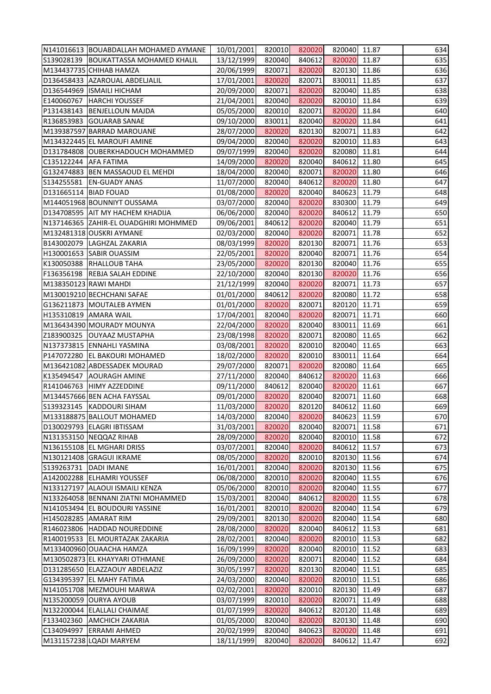|                         | N141016613   BOUABDALLAH MOHAMED AYMANE | 10/01/2001 | 820010 | 820020 | 820040 11.87 |       | 634 |
|-------------------------|-----------------------------------------|------------|--------|--------|--------------|-------|-----|
|                         | S139028139 BOUKATTASSA MOHAMED KHALIL   | 13/12/1999 | 820040 | 840612 | 820020       | 11.87 | 635 |
|                         | M134437735 CHIHAB HAMZA                 | 20/06/1999 | 820071 | 820020 | 820130       | 11.86 | 636 |
|                         | D136458433 AZAROUAL ABDELJALIL          | 17/01/2001 | 820020 | 820071 | 830011       | 11.85 | 637 |
|                         | D136544969 ISMAILI HICHAM               | 20/09/2000 | 820071 | 820020 | 820040 11.85 |       | 638 |
|                         | E140060767   HARCHI YOUSSEF             | 21/04/2001 | 820040 | 820020 | 820010       | 11.84 | 639 |
|                         | P131438143 BENJELLOUN MAJDA             | 05/05/2000 | 820010 | 820071 | 820020       | 11.84 | 640 |
|                         | R136853983 GOUARAB SANAE                | 09/10/2000 | 830011 | 820040 | 820020       | 11.84 | 641 |
|                         | M139387597 BARRAD MAROUANE              | 28/07/2000 | 820020 | 820130 | 820071       | 11.83 | 642 |
|                         | M134322445 EL MAROUFI AMINE             | 09/04/2000 | 820040 | 820020 | 820010 11.83 |       | 643 |
|                         | D131784808 OUBERKHADOUCH MOHAMMED       | 09/07/1999 | 820040 | 820020 | 820080       | 11.81 | 644 |
| C135122244   AFA FATIMA |                                         | 14/09/2000 | 820020 | 820040 | 840612       | 11.80 | 645 |
|                         | G132474883   BEN MASSAOUD EL MEHDI      | 18/04/2000 | 820040 | 820071 | 820020       | 11.80 | 646 |
|                         | S134255581 EN-GUADY ANAS                | 11/07/2000 | 820040 | 840612 | 820020       | 11.80 | 647 |
| D131665114   BIAD FOUAD |                                         | 01/08/2000 | 820020 | 820040 | 840623 11.79 |       | 648 |
|                         | M144051968 BOUNNIYT OUSSAMA             | 03/07/2000 | 820040 | 820020 | 830300 11.79 |       | 649 |
|                         | D134708595 AIT MY HACHEM KHADIJA        | 06/06/2000 | 820040 | 820020 | 840612 11.79 |       | 650 |
|                         | N137146365 ZAHIR-EL OUADGHIRI MOHMMED   | 09/06/2001 | 840612 | 820020 | 820040       | 11.79 | 651 |
|                         | M132481318 OUSKRI AYMANE                | 02/03/2000 | 820040 | 820020 | 820071       | 11.78 | 652 |
|                         | B143002079   LAGHZAL ZAKARIA            | 08/03/1999 | 820020 | 820130 | 820071 11.76 |       | 653 |
|                         | H130001653 SABIR OUASSIM                | 22/05/2001 | 820020 | 820040 | 820071       | 11.76 | 654 |
|                         | K130050388 RHALLOUB TAHA                | 23/05/2000 | 820020 | 820130 | 820040 11.76 |       | 655 |
|                         | F136356198 REBJA SALAH EDDINE           | 22/10/2000 | 820040 | 820130 | 820020       | 11.76 | 656 |
|                         | M138350123 RAWI MAHDI                   | 21/12/1999 | 820040 | 820020 | 820071       | 11.73 | 657 |
|                         | M130019210 BECHCHANI SAFAE              | 01/01/2000 | 840612 | 820020 | 820080 11.72 |       | 658 |
|                         | G136211873 MOUTALEB AYMEN               | 01/01/2000 | 820020 | 820071 | 820120       | 11.71 | 659 |
|                         | H135310819 AMARA WAIL                   | 17/04/2001 | 820040 | 820020 | 820071       | 11.71 | 660 |
|                         | M136434390 MOURADY MOUNYA               | 22/04/2000 | 820020 | 820040 | 830011       | 11.69 | 661 |
|                         | Z183900325   OUYAAZ MUSTAPHA            | 23/08/1998 | 820020 | 820071 | 820080       | 11.65 | 662 |
|                         | N137373815 ENNAHLI YASMINA              | 03/08/2001 | 820020 | 820010 | 820040       | 11.65 | 663 |
|                         | P147072280 EL BAKOURI MOHAMED           | 18/02/2000 | 820020 | 820010 | 830011       | 11.64 | 664 |
|                         | M136421082 ABDESSADEK MOURAD            | 29/07/2000 | 820071 | 820020 | 820080 11.64 |       | 665 |
|                         | K135494547 AOURAGH AMINE                | 27/11/2000 | 820040 | 840612 | 820020       | 11.63 | 666 |
|                         | R141046763 HIMY AZZEDDINE               | 09/11/2000 | 840612 | 820040 | 820020       | 11.61 | 667 |
|                         | M134457666 BEN ACHA FAYSSAL             | 09/01/2000 | 820020 | 820040 | 820071       | 11.60 | 668 |
|                         | S139323145  KADDOURI SIHAM              | 11/03/2000 | 820020 | 820120 | 840612       | 11.60 | 669 |
|                         | M133188875 BALLOUT MOHAMED              | 14/03/2000 | 820040 | 820020 | 840623       | 11.59 | 670 |
|                         | D130029793 ELAGRI IBTISSAM              | 31/03/2001 | 820020 | 820040 | 820071       | 11.58 | 671 |
|                         | N131353150 NEQQAZ RIHAB                 | 28/09/2000 | 820020 | 820040 | 820010       | 11.58 | 672 |
|                         | N136155108 EL MGHARI DRISS              | 03/07/2001 | 820040 | 820020 | 840612 11.57 |       | 673 |
|                         | N130121408 GRAGUI IKRAME                | 08/05/2000 | 820020 | 820010 | 820130       | 11.56 | 674 |
| S139263731              | <b>DADI IMANE</b>                       | 16/01/2001 | 820040 | 820020 | 820130       | 11.56 | 675 |
|                         | A142002288 ELHAMRI YOUSSEF              | 06/08/2000 | 820010 | 820020 | 820040       | 11.55 | 676 |
|                         | N133127197 ALAOUI ISMAILI KENZA         | 05/06/2000 | 820010 | 820020 | 820040       | 11.55 | 677 |
|                         | N133264058   BENNANI ZIATNI MOHAMMED    | 15/03/2001 | 820040 | 840612 | 820020       | 11.55 | 678 |
|                         | N141053494 EL BOUDOURI YASSINE          | 16/01/2001 | 820010 | 820020 | 820040       | 11.54 | 679 |
|                         | H145028285 AMARAT RIM                   | 29/09/2001 | 820130 | 820020 | 820040       | 11.54 | 680 |
|                         | R146023806 HADDAD NOUREDDINE            | 28/08/2000 | 820020 | 820040 | 840612       | 11.53 | 681 |
|                         | R140019533 EL MOURTAZAK ZAKARIA         | 28/02/2001 | 820040 | 820020 | 820010       | 11.53 | 682 |
|                         | M133400960 OUAACHA HAMZA                | 16/09/1999 | 820020 | 820040 | 820010       | 11.52 | 683 |
|                         | M130502873 EL KHAYYARI OTHMANE          | 26/09/2000 | 820020 | 820071 | 820040       | 11.52 | 684 |
|                         | D131285650 ELAZZAOUY ABDELAZIZ          | 30/05/1997 | 820020 | 820130 | 820040       | 11.51 | 685 |
|                         | G134395397   EL MAHY FATIMA             | 24/03/2000 | 820040 | 820020 | 820010       | 11.51 | 686 |
|                         | N141051708   MEZMOUHI MARWA             | 02/02/2001 | 820020 | 820010 | 820130       | 11.49 | 687 |
|                         | N135200059 OURYA AYOUB                  | 03/07/1999 | 820010 | 820020 | 820071       | 11.49 | 688 |
|                         | N132200044 ELALLALI CHAIMAE             | 01/07/1999 | 820020 | 840612 | 820120       | 11.48 | 689 |
|                         | F133402360 AMCHICH ZAKARIA              | 01/05/2000 | 820040 | 820020 | 820130       | 11.48 | 690 |
|                         | C134094997 ERRAMI AHMED                 | 20/02/1999 | 820040 | 840623 | 820020       | 11.48 | 691 |
|                         | M131157238 LQADI MARYEM                 | 18/11/1999 | 820040 | 820020 | 840612       | 11.47 | 692 |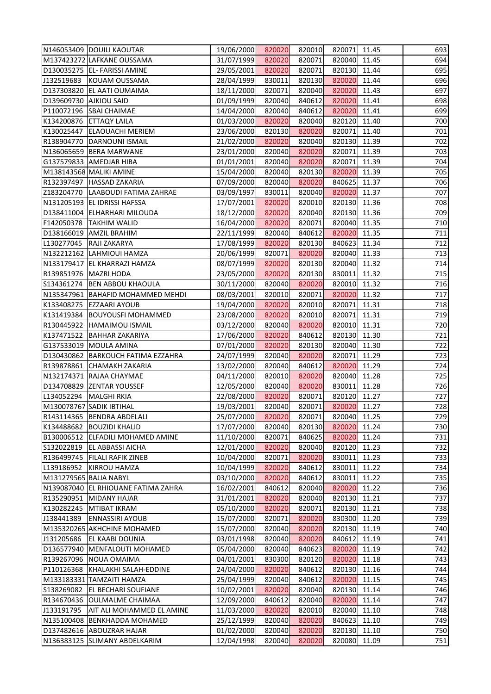| N146053409 DOUILI KAOUTAR                      | 19/06/2000 | 820020 | 820010 | 820071 11.45 |       | 693 |
|------------------------------------------------|------------|--------|--------|--------------|-------|-----|
| M137423272 LAFKANE OUSSAMA                     | 31/07/1999 | 820020 | 820071 | 820040 11.45 |       | 694 |
| D130035275   EL- FARISSI AMINE                 | 29/05/2001 | 820020 | 820071 | 820130 11.44 |       | 695 |
| J132519683 KOUAM OUSSAMA                       | 28/04/1999 | 830011 | 820130 | 820020       | 11.44 | 696 |
| D137303820 EL AATI OUMAIMA                     | 18/11/2000 | 820071 | 820040 | 820020 11.43 |       | 697 |
| D139609730 AJKIOU SAID                         | 01/09/1999 | 820040 | 840612 | 820020 11.41 |       | 698 |
| P110072196 SBAI CHAIMAE                        | 14/04/2000 | 820040 | 840612 | 820020 11.41 |       | 699 |
| K134200876 ETTAQY LAILA                        | 01/03/2000 | 820020 | 820040 | 820120       | 11.40 | 700 |
| K130025447 ELAOUACHI MERIEM                    | 23/06/2000 | 820130 | 820020 | 820071       | 11.40 | 701 |
| R138904770 DARNOUNI ISMAIL                     | 21/02/2000 | 820020 | 820040 | 820130 11.39 |       | 702 |
| N136065659 BERA MARWANE                        | 23/01/2000 | 820040 | 820020 | 820071       | 11.39 | 703 |
| G137579833 AMEDJAR HIBA                        | 01/01/2001 | 820040 | 820020 | 820071 11.39 |       | 704 |
| M138143568 MALIKI AMINE                        | 15/04/2000 | 820040 | 820130 | 820020       | 11.39 | 705 |
| R132397497 HASSAD ZAKARIA                      | 07/09/2000 | 820040 | 820020 | 840625 11.37 |       | 706 |
| Z183204770 LAABOUDI FATIMA ZAHRAE              | 03/09/1997 | 830011 | 820040 | 820020 11.37 |       | 707 |
| N131205193 EL IDRISSI HAFSSA                   | 17/07/2001 | 820020 | 820010 | 820130 11.36 |       | 708 |
| D138411004 ELHARHARI MILOUDA                   | 18/12/2000 | 820020 | 820040 | 820130 11.36 |       | 709 |
| F142050378  TAKHIM WALID                       | 16/04/2000 | 820020 | 820071 | 820040 11.35 |       | 710 |
| D138166019 AMZIL BRAHIM                        | 22/11/1999 | 820040 | 840612 | 820020       | 11.35 | 711 |
| L130277045 RAJI ZAKARYA                        | 17/08/1999 | 820020 | 820130 | 840623 11.34 |       | 712 |
| N132212162 LAHMIOUI HAMZA                      | 20/06/1999 | 820071 | 820020 | 820040 11.33 |       | 713 |
| N133179417 EL KHARRAZI HAMZA                   | 08/07/1999 | 820020 | 820130 | 820040 11.32 |       | 714 |
| R139851976   MAZRI HODA                        | 23/05/2000 | 820020 | 820130 | 830011       | 11.32 | 715 |
| S134361274   BEN ABBOU KHAOULA                 | 30/11/2000 | 820040 | 820020 | 820010       | 11.32 | 716 |
| N135347961  BAHAFID MOHAMMED MEHDI             | 08/03/2001 | 820010 | 820071 | 820020 11.32 |       | 717 |
| K133408275 EZZAARI AYOUB                       | 19/04/2000 | 820020 | 820010 | 820071       | 11.31 | 718 |
| K131419384   BOUYOUSFI MOHAMMED                | 23/08/2000 | 820020 | 820010 | 820071 11.31 |       | 719 |
| R130445922 HAMAIMOU ISMAIL                     | 03/12/2000 | 820040 | 820020 | 820010       | 11.31 | 720 |
| K137471522   BAHHAR ZAKARIYA                   | 17/06/2000 | 820020 | 840612 | 820130       | 11.30 | 721 |
| G137533019   MOULA AMINA                       | 07/01/2000 | 820020 | 820130 | 820040 11.30 |       | 722 |
| D130430862   BARKOUCH FATIMA EZZAHRA           | 24/07/1999 | 820040 | 820020 | 820071       | 11.29 | 723 |
| R139878861 CHAMAKH ZAKARIA                     | 13/02/2000 | 820040 | 840612 | 820020 11.29 |       | 724 |
| N132174371 RAJAA CHAYMAE                       | 04/11/2000 | 820010 | 820020 | 820040 11.28 |       | 725 |
| D134708829 ZENTAR YOUSSEF                      | 12/05/2000 | 820040 | 820020 | 830011       | 11.28 | 726 |
| L134052294   MALGHI RKIA                       | 22/08/2000 | 820020 | 820071 | 820120 11.27 |       | 727 |
| M130078767 SADIK IBTIHAL                       | 19/03/2001 | 820040 | 820071 | 820020       | 11.27 | 728 |
| R143114365  BENDRA ABDELALI                    | 25/07/2000 | 820020 | 820071 | 820040       | 11.25 | 729 |
| K134488682 BOUZIDI KHALID                      | 17/07/2000 | 820040 | 820130 | 820020       | 11.24 | 730 |
| B130006512 ELFADILI MOHAMED AMINE              | 11/10/2000 | 820071 | 840625 | 820020       | 11.24 | 731 |
| S132022819   EL ABBASSI AICHA                  | 12/01/2000 | 820020 | 820040 | 820120 11.23 |       | 732 |
| R136499745   FILALI RAFIK ZINEB                | 10/04/2000 | 820071 | 820020 | 830011       | 11.23 | 733 |
| L139186952<br><b>KIRROU HAMZA</b>              | 10/04/1999 | 820020 | 840612 | 830011       | 11.22 | 734 |
| M131279565 BAJJA NABYL                         | 03/10/2000 | 820020 | 840612 | 830011       | 11.22 | 735 |
| N139087040 EL RHIOUANE FATIMA ZAHRA            | 16/02/2001 | 840612 | 820040 | 820020       | 11.22 | 736 |
| R135290951 MIDANY HAJAR                        | 31/01/2001 | 820020 | 820040 | 820130 11.21 |       | 737 |
| K130282245  MTIBAT IKRAM                       | 05/10/2000 | 820020 | 820071 | 820130       | 11.21 | 738 |
| J138441389<br><b>ENNASSIRI AYOUB</b>           | 15/07/2000 | 820071 | 820020 | 830300       | 11.20 | 739 |
| M135320265 AKHCHINE MOHAMED                    | 15/07/2000 | 820040 | 820020 | 820130 11.19 |       | 740 |
| J131205686<br><b>EL KAABI DOUNIA</b>           | 03/01/1998 | 820040 | 820020 | 840612       | 11.19 | 741 |
| D136577940   MENFALOUTI MOHAMED                | 05/04/2000 | 820040 | 840623 | 820020       | 11.19 | 742 |
| R139267096 NOUA OMAIMA                         | 04/01/2001 | 830300 | 820120 | 820020       | 11.18 | 743 |
| P110126368 KHALAKHI SALAH-EDDINE               | 24/04/2000 | 820020 | 840612 | 820130 11.16 |       | 744 |
| M133183331 TAMZAITI HAMZA                      | 25/04/1999 | 820040 | 840612 | 820020 11.15 |       | 745 |
| S138269082 EL BECHARI SOUFIANE                 | 10/02/2001 | 820020 | 820040 | 820130       | 11.14 | 746 |
| R134670436 OULMALME CHAIMAA                    | 12/09/2000 | 840612 | 820040 | 820020       | 11.14 | 747 |
| J133191795<br><b>AIT ALI MOHAMMED EL AMINE</b> | 11/03/2000 | 820020 | 820010 | 820040       | 11.10 | 748 |
| N135100408 BENKHADDA MOHAMED                   | 25/12/1999 | 820040 | 820020 | 840623       | 11.10 | 749 |
| D137482616 ABOUZRAR HAJAR                      | 01/02/2000 | 820040 | 820020 | 820130 11.10 |       | 750 |
| N136383125 SLIMANY ABDELKARIM                  | 12/04/1998 | 820040 | 820020 | 820080       | 11.09 | 751 |